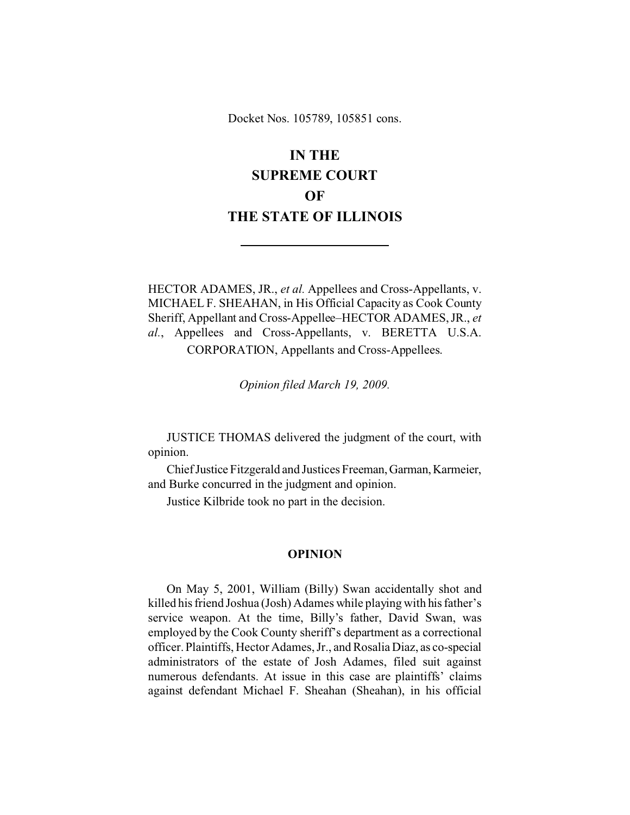Docket Nos. 105789, 105851 cons.

# **IN THE SUPREME COURT OF THE STATE OF ILLINOIS**

HECTOR ADAMES, JR., *et al.* Appellees and Cross-Appellants, v. MICHAEL F. SHEAHAN, in His Official Capacity as Cook County Sheriff, Appellant and Cross-Appellee–HECTOR ADAMES, JR., *et al.*, Appellees and Cross-Appellants, v. BERETTA U.S.A. CORPORATION, Appellants and Cross-Appellees.

*Opinion filed March 19, 2009.*

JUSTICE THOMAS delivered the judgment of the court, with opinion.

ChiefJustice Fitzgerald and Justices Freeman,Garman,Karmeier, and Burke concurred in the judgment and opinion.

Justice Kilbride took no part in the decision.

#### **OPINION**

On May 5, 2001, William (Billy) Swan accidentally shot and killed his friend Joshua (Josh) Adames while playing with his father's service weapon. At the time, Billy's father, David Swan, was employed by the Cook County sheriff's department as a correctional officer. Plaintiffs, Hector Adames, Jr., and Rosalia Diaz, as co-special administrators of the estate of Josh Adames, filed suit against numerous defendants. At issue in this case are plaintiffs' claims against defendant Michael F. Sheahan (Sheahan), in his official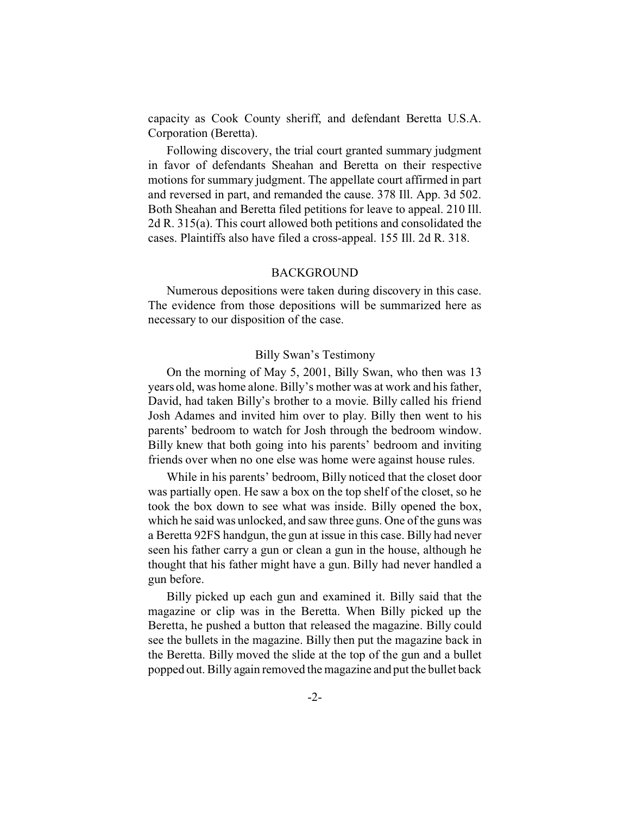capacity as Cook County sheriff, and defendant Beretta U.S.A. Corporation (Beretta).

Following discovery, the trial court granted summary judgment in favor of defendants Sheahan and Beretta on their respective motions for summary judgment. The appellate court affirmed in part and reversed in part, and remanded the cause. 378 Ill. App. 3d 502. Both Sheahan and Beretta filed petitions for leave to appeal. 210 Ill. 2d R. 315(a). This court allowed both petitions and consolidated the cases. Plaintiffs also have filed a cross-appeal. 155 Ill. 2d R. 318.

#### BACKGROUND

Numerous depositions were taken during discovery in this case. The evidence from those depositions will be summarized here as necessary to our disposition of the case.

#### Billy Swan's Testimony

On the morning of May 5, 2001, Billy Swan, who then was 13 years old, was home alone. Billy's mother was at work and his father, David, had taken Billy's brother to a movie. Billy called his friend Josh Adames and invited him over to play. Billy then went to his parents' bedroom to watch for Josh through the bedroom window. Billy knew that both going into his parents' bedroom and inviting friends over when no one else was home were against house rules.

While in his parents' bedroom, Billy noticed that the closet door was partially open. He saw a box on the top shelf of the closet, so he took the box down to see what was inside. Billy opened the box, which he said was unlocked, and saw three guns. One of the guns was a Beretta 92FS handgun, the gun at issue in this case. Billy had never seen his father carry a gun or clean a gun in the house, although he thought that his father might have a gun. Billy had never handled a gun before.

Billy picked up each gun and examined it. Billy said that the magazine or clip was in the Beretta. When Billy picked up the Beretta, he pushed a button that released the magazine. Billy could see the bullets in the magazine. Billy then put the magazine back in the Beretta. Billy moved the slide at the top of the gun and a bullet popped out. Billy again removed the magazine and put the bullet back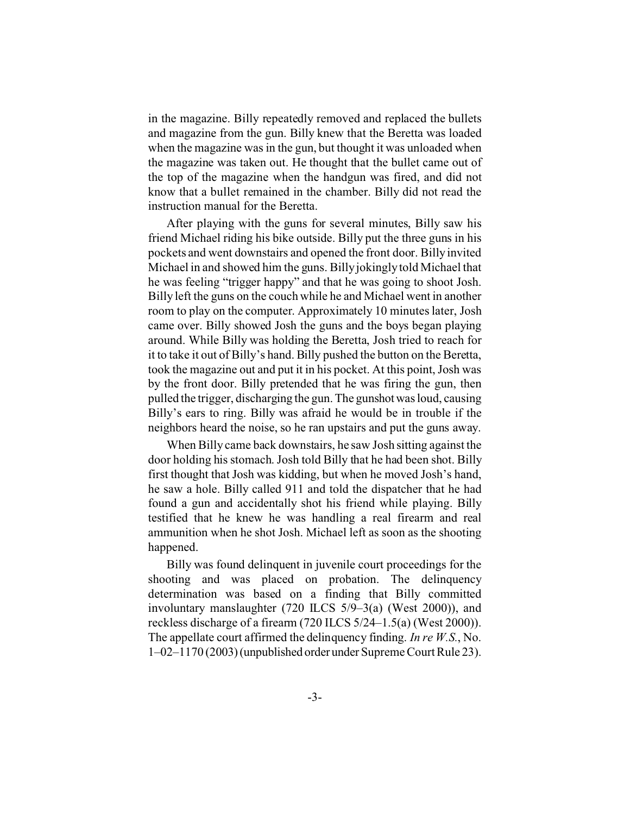in the magazine. Billy repeatedly removed and replaced the bullets and magazine from the gun. Billy knew that the Beretta was loaded when the magazine was in the gun, but thought it was unloaded when the magazine was taken out. He thought that the bullet came out of the top of the magazine when the handgun was fired, and did not know that a bullet remained in the chamber. Billy did not read the instruction manual for the Beretta.

After playing with the guns for several minutes, Billy saw his friend Michael riding his bike outside. Billy put the three guns in his pockets and went downstairs and opened the front door. Billy invited Michael in and showed him the guns. Billy jokingly told Michael that he was feeling "trigger happy" and that he was going to shoot Josh. Billy left the guns on the couch while he and Michael went in another room to play on the computer. Approximately 10 minutes later, Josh came over. Billy showed Josh the guns and the boys began playing around. While Billy was holding the Beretta, Josh tried to reach for it to take it out of Billy's hand. Billy pushed the button on the Beretta, took the magazine out and put it in his pocket. At this point, Josh was by the front door. Billy pretended that he was firing the gun, then pulled the trigger, discharging the gun. The gunshotwas loud, causing Billy's ears to ring. Billy was afraid he would be in trouble if the neighbors heard the noise, so he ran upstairs and put the guns away.

When Billy came back downstairs, he saw Josh sitting against the door holding his stomach. Josh told Billy that he had been shot. Billy first thought that Josh was kidding, but when he moved Josh's hand, he saw a hole. Billy called 911 and told the dispatcher that he had found a gun and accidentally shot his friend while playing. Billy testified that he knew he was handling a real firearm and real ammunition when he shot Josh. Michael left as soon as the shooting happened.

Billy was found delinquent in juvenile court proceedings for the shooting and was placed on probation. The delinquency determination was based on a finding that Billy committed involuntary manslaughter (720 ILCS 5/9–3(a) (West 2000)), and reckless discharge of a firearm (720 ILCS 5/24–1.5(a) (West 2000)). The appellate court affirmed the delinquency finding. *In re W.S.*, No. 1–02–1170 (2003)(unpublished order under Supreme Court Rule 23).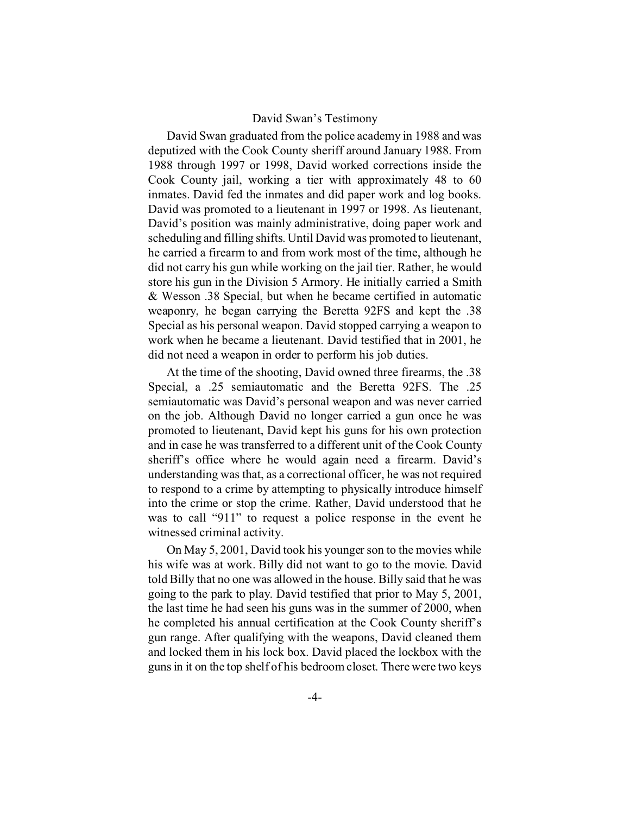#### David Swan's Testimony

David Swan graduated from the police academy in 1988 and was deputized with the Cook County sheriff around January 1988. From 1988 through 1997 or 1998, David worked corrections inside the Cook County jail, working a tier with approximately 48 to 60 inmates. David fed the inmates and did paper work and log books. David was promoted to a lieutenant in 1997 or 1998. As lieutenant, David's position was mainly administrative, doing paper work and scheduling and filling shifts. Until David was promoted to lieutenant, he carried a firearm to and from work most of the time, although he did not carry his gun while working on the jail tier. Rather, he would store his gun in the Division 5 Armory. He initially carried a Smith & Wesson .38 Special, but when he became certified in automatic weaponry, he began carrying the Beretta 92FS and kept the .38 Special as his personal weapon. David stopped carrying a weapon to work when he became a lieutenant. David testified that in 2001, he did not need a weapon in order to perform his job duties.

At the time of the shooting, David owned three firearms, the .38 Special, a .25 semiautomatic and the Beretta 92FS. The .25 semiautomatic was David's personal weapon and was never carried on the job. Although David no longer carried a gun once he was promoted to lieutenant, David kept his guns for his own protection and in case he was transferred to a different unit of the Cook County sheriff's office where he would again need a firearm. David's understanding was that, as a correctional officer, he was not required to respond to a crime by attempting to physically introduce himself into the crime or stop the crime. Rather, David understood that he was to call "911" to request a police response in the event he witnessed criminal activity.

On May 5, 2001, David took his younger son to the movies while his wife was at work. Billy did not want to go to the movie. David told Billy that no one was allowed in the house. Billy said that he was going to the park to play. David testified that prior to May 5, 2001, the last time he had seen his guns was in the summer of 2000, when he completed his annual certification at the Cook County sheriff's gun range. After qualifying with the weapons, David cleaned them and locked them in his lock box. David placed the lockbox with the guns in it on the top shelf of his bedroom closet. There were two keys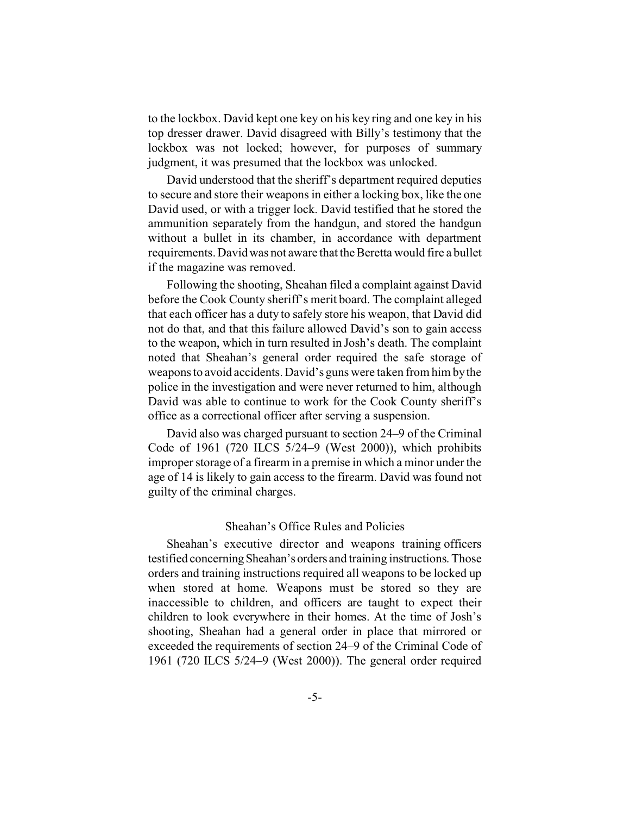to the lockbox. David kept one key on his key ring and one key in his top dresser drawer. David disagreed with Billy's testimony that the lockbox was not locked; however, for purposes of summary judgment, it was presumed that the lockbox was unlocked.

David understood that the sheriff's department required deputies to secure and store their weapons in either a locking box, like the one David used, or with a trigger lock. David testified that he stored the ammunition separately from the handgun, and stored the handgun without a bullet in its chamber, in accordance with department requirements. David was not aware that the Beretta would fire a bullet if the magazine was removed.

Following the shooting, Sheahan filed a complaint against David before the Cook County sheriff's merit board. The complaint alleged that each officer has a duty to safely store his weapon, that David did not do that, and that this failure allowed David's son to gain access to the weapon, which in turn resulted in Josh's death. The complaint noted that Sheahan's general order required the safe storage of weapons to avoid accidents. David's guns were taken from him by the police in the investigation and were never returned to him, although David was able to continue to work for the Cook County sheriff's office as a correctional officer after serving a suspension.

David also was charged pursuant to section 24–9 of the Criminal Code of 1961 (720 ILCS 5/24–9 (West 2000)), which prohibits improper storage of a firearm in a premise in which a minor under the age of 14 is likely to gain access to the firearm. David was found not guilty of the criminal charges.

# Sheahan's Office Rules and Policies

Sheahan's executive director and weapons training officers testified concerning Sheahan's orders and training instructions. Those orders and training instructions required all weapons to be locked up when stored at home. Weapons must be stored so they are inaccessible to children, and officers are taught to expect their children to look everywhere in their homes. At the time of Josh's shooting, Sheahan had a general order in place that mirrored or exceeded the requirements of section 24–9 of the Criminal Code of 1961 (720 ILCS 5/24–9 (West 2000)). The general order required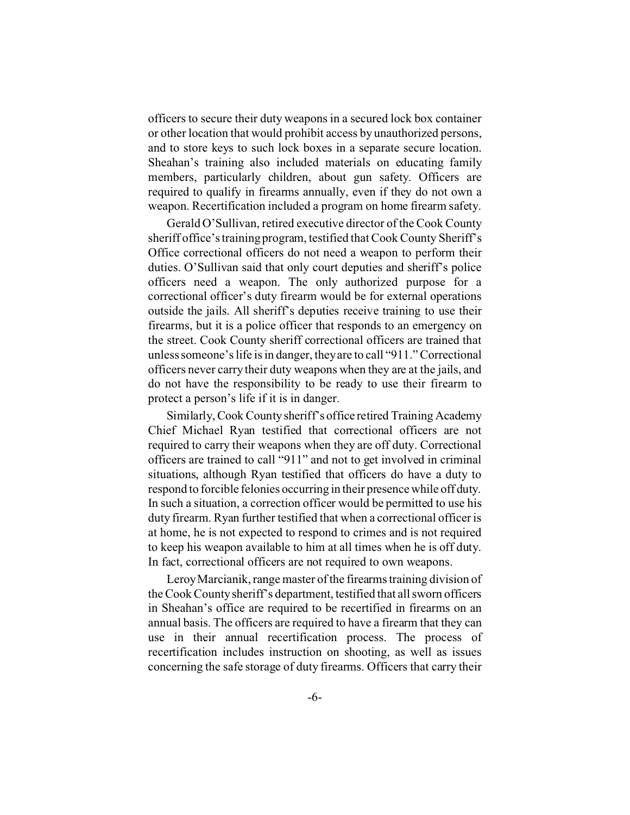officers to secure their duty weapons in a secured lock box container or other location that would prohibit access by unauthorized persons, and to store keys to such lock boxes in a separate secure location. Sheahan's training also included materials on educating family members, particularly children, about gun safety. Officers are required to qualify in firearms annually, even if they do not own a weapon. Recertification included a program on home firearm safety.

Gerald O'Sullivan, retired executive director of the Cook County sheriff office's training program, testified that Cook County Sheriff's Office correctional officers do not need a weapon to perform their duties. O'Sullivan said that only court deputies and sheriff's police officers need a weapon. The only authorized purpose for a correctional officer's duty firearm would be for external operations outside the jails. All sheriff's deputies receive training to use their firearms, but it is a police officer that responds to an emergency on the street. Cook County sheriff correctional officers are trained that unless someone's life is in danger, they are to call "911." Correctional officers never carry their duty weapons when they are at the jails, and do not have the responsibility to be ready to use their firearm to protect a person's life if it is in danger.

Similarly, Cook County sheriff's office retired Training Academy Chief Michael Ryan testified that correctional officers are not required to carry their weapons when they are off duty. Correctional officers are trained to call "911" and not to get involved in criminal situations, although Ryan testified that officers do have a duty to respond to forcible felonies occurring in their presence while off duty. In such a situation, a correction officer would be permitted to use his duty firearm. Ryan further testified that when a correctional officer is at home, he is not expected to respond to crimes and is not required to keep his weapon available to him at all times when he is off duty. In fact, correctional officers are not required to own weapons.

Leroy Marcianik, range master of the firearms training division of the Cook County sheriff's department, testified that all sworn officers in Sheahan's office are required to be recertified in firearms on an annual basis. The officers are required to have a firearm that they can use in their annual recertification process. The process of recertification includes instruction on shooting, as well as issues concerning the safe storage of duty firearms. Officers that carry their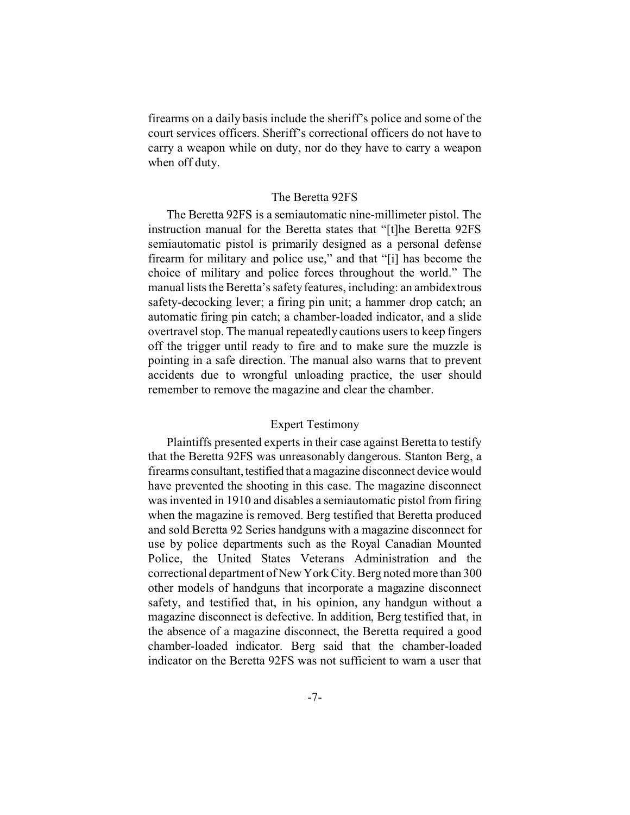firearms on a daily basis include the sheriff's police and some of the court services officers. Sheriff's correctional officers do not have to carry a weapon while on duty, nor do they have to carry a weapon when off duty.

### The Beretta 92FS

The Beretta 92FS is a semiautomatic nine-millimeter pistol. The instruction manual for the Beretta states that "[t]he Beretta 92FS semiautomatic pistol is primarily designed as a personal defense firearm for military and police use," and that "[i] has become the choice of military and police forces throughout the world." The manual lists the Beretta's safety features, including: an ambidextrous safety-decocking lever; a firing pin unit; a hammer drop catch; an automatic firing pin catch; a chamber-loaded indicator, and a slide overtravel stop. The manual repeatedly cautions users to keep fingers off the trigger until ready to fire and to make sure the muzzle is pointing in a safe direction. The manual also warns that to prevent accidents due to wrongful unloading practice, the user should remember to remove the magazine and clear the chamber.

# Expert Testimony

Plaintiffs presented experts in their case against Beretta to testify that the Beretta 92FS was unreasonably dangerous. Stanton Berg, a firearms consultant, testified that a magazine disconnect device would have prevented the shooting in this case. The magazine disconnect was invented in 1910 and disables a semiautomatic pistol from firing when the magazine is removed. Berg testified that Beretta produced and sold Beretta 92 Series handguns with a magazine disconnect for use by police departments such as the Royal Canadian Mounted Police, the United States Veterans Administration and the correctional department of New York City. Berg noted more than 300 other models of handguns that incorporate a magazine disconnect safety, and testified that, in his opinion, any handgun without a magazine disconnect is defective. In addition, Berg testified that, in the absence of a magazine disconnect, the Beretta required a good chamber-loaded indicator. Berg said that the chamber-loaded indicator on the Beretta 92FS was not sufficient to warn a user that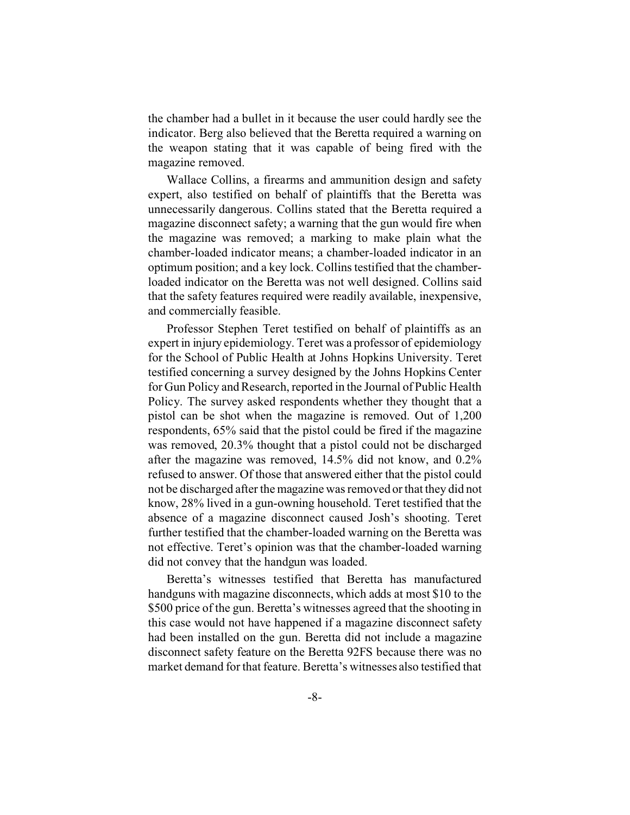the chamber had a bullet in it because the user could hardly see the indicator. Berg also believed that the Beretta required a warning on the weapon stating that it was capable of being fired with the magazine removed.

Wallace Collins, a firearms and ammunition design and safety expert, also testified on behalf of plaintiffs that the Beretta was unnecessarily dangerous. Collins stated that the Beretta required a magazine disconnect safety; a warning that the gun would fire when the magazine was removed; a marking to make plain what the chamber-loaded indicator means; a chamber-loaded indicator in an optimum position; and a key lock. Collins testified that the chamberloaded indicator on the Beretta was not well designed. Collins said that the safety features required were readily available, inexpensive, and commercially feasible.

Professor Stephen Teret testified on behalf of plaintiffs as an expert in injury epidemiology. Teret was a professor of epidemiology for the School of Public Health at Johns Hopkins University. Teret testified concerning a survey designed by the Johns Hopkins Center for Gun Policy and Research, reported in the Journal of Public Health Policy. The survey asked respondents whether they thought that a pistol can be shot when the magazine is removed. Out of 1,200 respondents, 65% said that the pistol could be fired if the magazine was removed, 20.3% thought that a pistol could not be discharged after the magazine was removed, 14.5% did not know, and 0.2% refused to answer. Of those that answered either that the pistol could not be discharged after the magazine was removed or that they did not know, 28% lived in a gun-owning household. Teret testified that the absence of a magazine disconnect caused Josh's shooting. Teret further testified that the chamber-loaded warning on the Beretta was not effective. Teret's opinion was that the chamber-loaded warning did not convey that the handgun was loaded.

Beretta's witnesses testified that Beretta has manufactured handguns with magazine disconnects, which adds at most \$10 to the \$500 price of the gun. Beretta's witnesses agreed that the shooting in this case would not have happened if a magazine disconnect safety had been installed on the gun. Beretta did not include a magazine disconnect safety feature on the Beretta 92FS because there was no market demand for that feature. Beretta's witnesses also testified that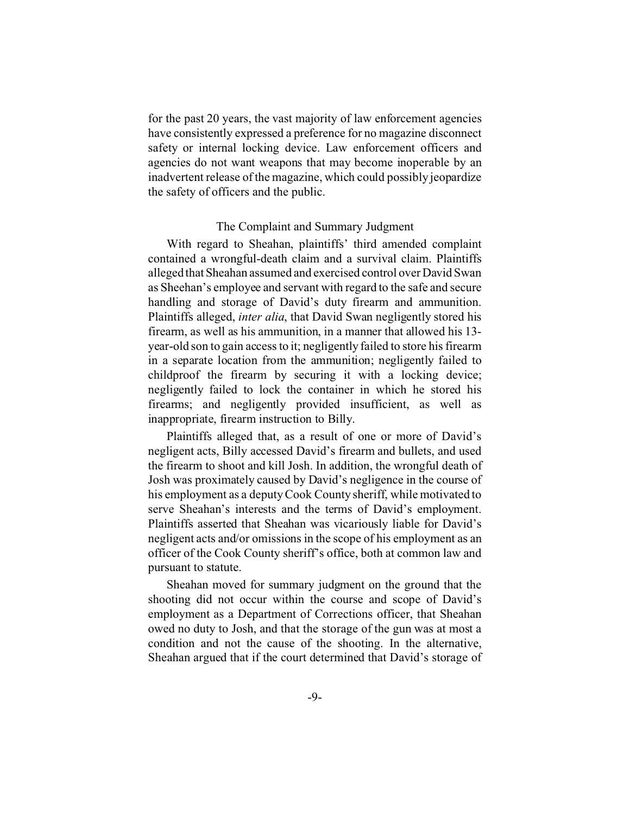for the past 20 years, the vast majority of law enforcement agencies have consistently expressed a preference for no magazine disconnect safety or internal locking device. Law enforcement officers and agencies do not want weapons that may become inoperable by an inadvertent release of the magazine, which could possibly jeopardize the safety of officers and the public.

## The Complaint and Summary Judgment

With regard to Sheahan, plaintiffs' third amended complaint contained a wrongful-death claim and a survival claim. Plaintiffs alleged that Sheahan assumed and exercised control over David Swan as Sheehan's employee and servant with regard to the safe and secure handling and storage of David's duty firearm and ammunition. Plaintiffs alleged, *inter alia*, that David Swan negligently stored his firearm, as well as his ammunition, in a manner that allowed his 13 year-old son to gain access to it; negligently failed to store his firearm in a separate location from the ammunition; negligently failed to childproof the firearm by securing it with a locking device; negligently failed to lock the container in which he stored his firearms; and negligently provided insufficient, as well as inappropriate, firearm instruction to Billy.

Plaintiffs alleged that, as a result of one or more of David's negligent acts, Billy accessed David's firearm and bullets, and used the firearm to shoot and kill Josh. In addition, the wrongful death of Josh was proximately caused by David's negligence in the course of his employment as a deputy Cook County sheriff, while motivated to serve Sheahan's interests and the terms of David's employment. Plaintiffs asserted that Sheahan was vicariously liable for David's negligent acts and/or omissions in the scope of his employment as an officer of the Cook County sheriff's office, both at common law and pursuant to statute.

Sheahan moved for summary judgment on the ground that the shooting did not occur within the course and scope of David's employment as a Department of Corrections officer, that Sheahan owed no duty to Josh, and that the storage of the gun was at most a condition and not the cause of the shooting. In the alternative, Sheahan argued that if the court determined that David's storage of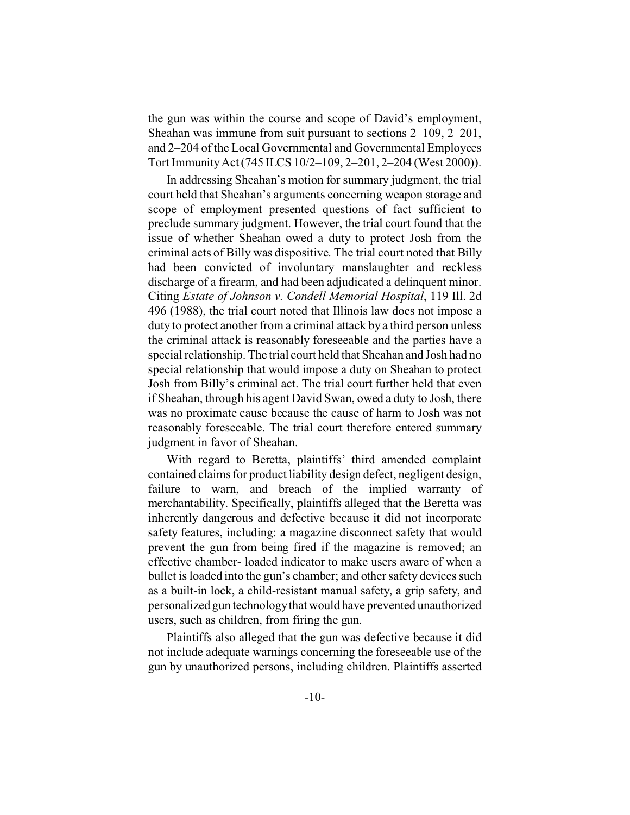the gun was within the course and scope of David's employment, Sheahan was immune from suit pursuant to sections 2–109, 2–201, and 2–204 of the Local Governmental and Governmental Employees Tort Immunity Act (745 ILCS 10/2–109, 2–201, 2–204 (West 2000)).

In addressing Sheahan's motion for summary judgment, the trial court held that Sheahan's arguments concerning weapon storage and scope of employment presented questions of fact sufficient to preclude summary judgment. However, the trial court found that the issue of whether Sheahan owed a duty to protect Josh from the criminal acts of Billy was dispositive. The trial court noted that Billy had been convicted of involuntary manslaughter and reckless discharge of a firearm, and had been adjudicated a delinquent minor. Citing *Estate of Johnson v. Condell Memorial Hospital*, 119 Ill. 2d 496 (1988), the trial court noted that Illinois law does not impose a duty to protect another from a criminal attack by a third person unless the criminal attack is reasonably foreseeable and the parties have a special relationship. The trial court held that Sheahan and Josh had no special relationship that would impose a duty on Sheahan to protect Josh from Billy's criminal act. The trial court further held that even if Sheahan, through his agent David Swan, owed a duty to Josh, there was no proximate cause because the cause of harm to Josh was not reasonably foreseeable. The trial court therefore entered summary judgment in favor of Sheahan.

With regard to Beretta, plaintiffs' third amended complaint contained claims for product liability design defect, negligent design, failure to warn, and breach of the implied warranty of merchantability. Specifically, plaintiffs alleged that the Beretta was inherently dangerous and defective because it did not incorporate safety features, including: a magazine disconnect safety that would prevent the gun from being fired if the magazine is removed; an effective chamber- loaded indicator to make users aware of when a bullet is loaded into the gun's chamber; and other safety devices such as a built-in lock, a child-resistant manual safety, a grip safety, and personalized gun technology that would have prevented unauthorized users, such as children, from firing the gun.

Plaintiffs also alleged that the gun was defective because it did not include adequate warnings concerning the foreseeable use of the gun by unauthorized persons, including children. Plaintiffs asserted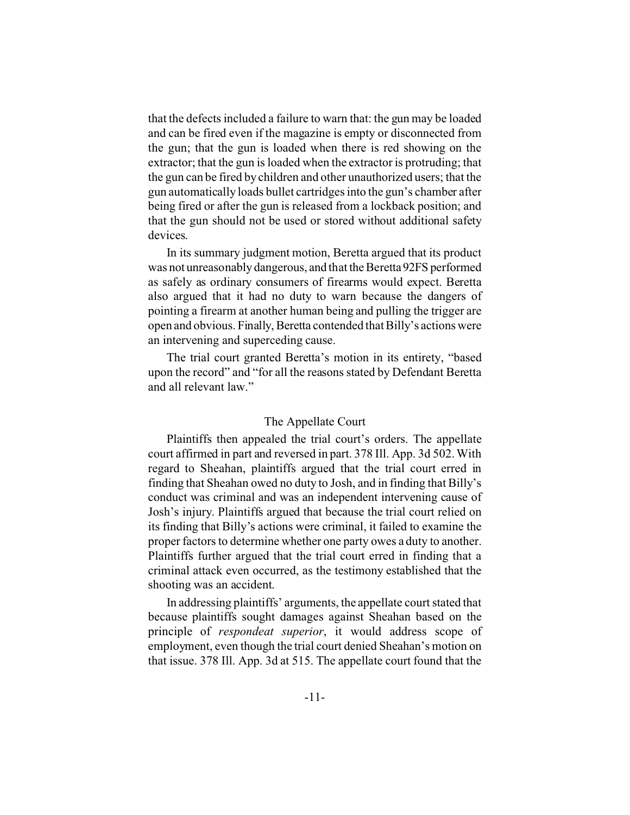that the defects included a failure to warn that: the gun may be loaded and can be fired even if the magazine is empty or disconnected from the gun; that the gun is loaded when there is red showing on the extractor; that the gun is loaded when the extractor is protruding; that the gun can be fired by children and other unauthorized users; that the gun automatically loads bullet cartridges into the gun's chamber after being fired or after the gun is released from a lockback position; and that the gun should not be used or stored without additional safety devices.

In its summary judgment motion, Beretta argued that its product was not unreasonably dangerous, and that the Beretta92FS performed as safely as ordinary consumers of firearms would expect. Beretta also argued that it had no duty to warn because the dangers of pointing a firearm at another human being and pulling the trigger are open and obvious. Finally, Beretta contended that Billy's actions were an intervening and superceding cause.

The trial court granted Beretta's motion in its entirety, "based upon the record" and "for all the reasons stated by Defendant Beretta and all relevant law"

# The Appellate Court

Plaintiffs then appealed the trial court's orders. The appellate court affirmed in part and reversed in part. 378 Ill. App. 3d 502. With regard to Sheahan, plaintiffs argued that the trial court erred in finding that Sheahan owed no duty to Josh, and in finding that Billy's conduct was criminal and was an independent intervening cause of Josh's injury. Plaintiffs argued that because the trial court relied on its finding that Billy's actions were criminal, it failed to examine the proper factors to determine whether one party owes a duty to another. Plaintiffs further argued that the trial court erred in finding that a criminal attack even occurred, as the testimony established that the shooting was an accident.

In addressing plaintiffs' arguments, the appellate court stated that because plaintiffs sought damages against Sheahan based on the principle of *respondeat superior*, it would address scope of employment, even though the trial court denied Sheahan's motion on that issue. 378 Ill. App. 3d at 515. The appellate court found that the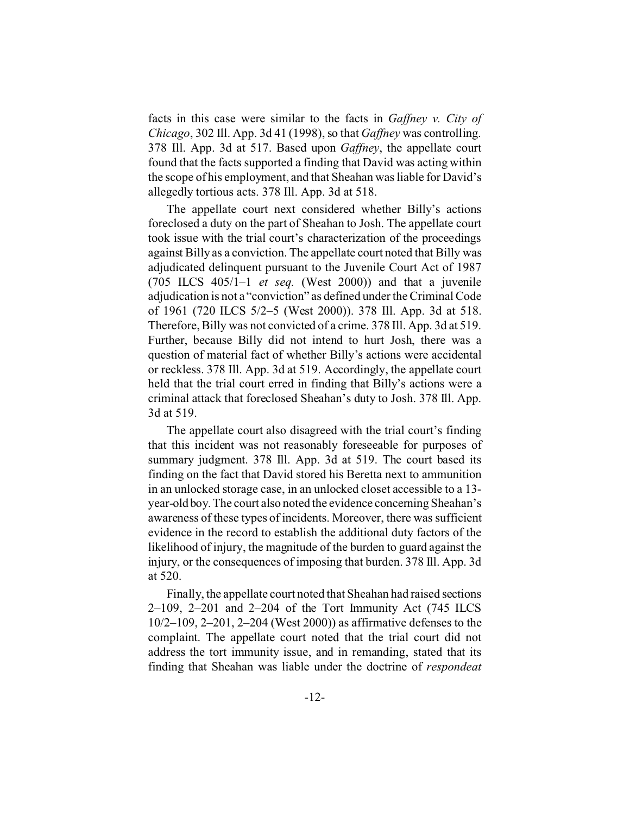facts in this case were similar to the facts in *Gaffney v. City of Chicago*, 302 Ill. App. 3d 41 (1998), so that *Gaffney* was controlling. 378 Ill. App. 3d at 517. Based upon *Gaffney*, the appellate court found that the facts supported a finding that David was acting within the scope of his employment, and that Sheahan was liable for David's allegedly tortious acts. 378 Ill. App. 3d at 518.

The appellate court next considered whether Billy's actions foreclosed a duty on the part of Sheahan to Josh. The appellate court took issue with the trial court's characterization of the proceedings against Billy as a conviction. The appellate court noted that Billy was adjudicated delinquent pursuant to the Juvenile Court Act of 1987 (705 ILCS 405/1–1 *et seq.* (West 2000)) and that a juvenile adjudication is not a "conviction" as defined under the Criminal Code of 1961 (720 ILCS 5/2–5 (West 2000)). 378 Ill. App. 3d at 518. Therefore, Billy was not convicted of a crime. 378 Ill. App. 3d at 519. Further, because Billy did not intend to hurt Josh, there was a question of material fact of whether Billy's actions were accidental or reckless. 378 Ill. App. 3d at 519. Accordingly, the appellate court held that the trial court erred in finding that Billy's actions were a criminal attack that foreclosed Sheahan's duty to Josh. 378 Ill. App. 3d at 519.

The appellate court also disagreed with the trial court's finding that this incident was not reasonably foreseeable for purposes of summary judgment. 378 Ill. App. 3d at 519. The court based its finding on the fact that David stored his Beretta next to ammunition in an unlocked storage case, in an unlocked closet accessible to a 13 year-old boy. The court also noted the evidence concerning Sheahan's awareness of these types of incidents. Moreover, there was sufficient evidence in the record to establish the additional duty factors of the likelihood of injury, the magnitude of the burden to guard against the injury, or the consequences of imposing that burden. 378 Ill. App. 3d at 520.

Finally, the appellate court noted that Sheahan had raised sections 2–109, 2–201 and 2–204 of the Tort Immunity Act (745 ILCS 10/2–109, 2–201, 2–204 (West 2000)) as affirmative defenses to the complaint. The appellate court noted that the trial court did not address the tort immunity issue, and in remanding, stated that its finding that Sheahan was liable under the doctrine of *respondeat*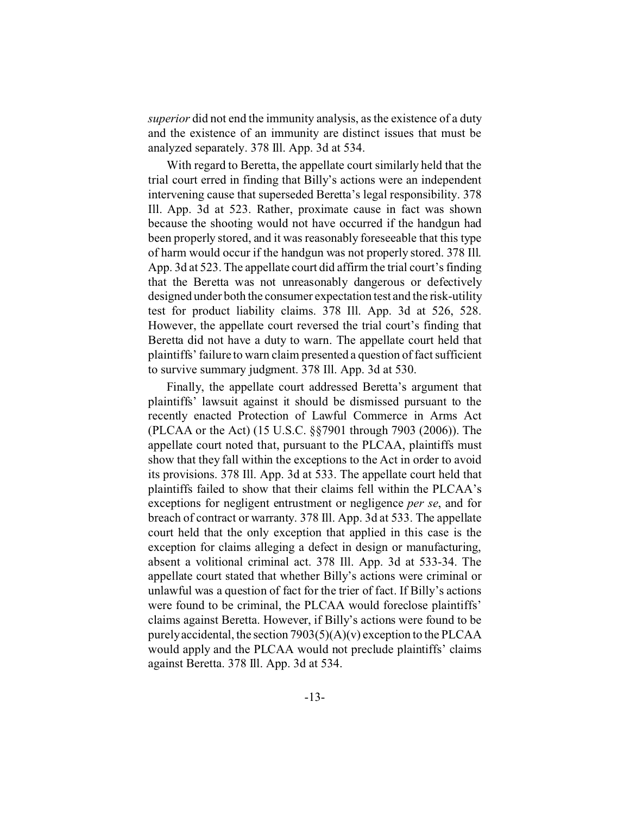*superior* did not end the immunity analysis, as the existence of a duty and the existence of an immunity are distinct issues that must be analyzed separately. 378 Ill. App. 3d at 534.

With regard to Beretta, the appellate court similarly held that the trial court erred in finding that Billy's actions were an independent intervening cause that superseded Beretta's legal responsibility. 378 Ill. App. 3d at 523. Rather, proximate cause in fact was shown because the shooting would not have occurred if the handgun had been properly stored, and it was reasonably foreseeable that this type of harm would occur if the handgun was not properly stored. 378 Ill. App. 3d at 523. The appellate court did affirm the trial court's finding that the Beretta was not unreasonably dangerous or defectively designed under both the consumer expectation test and the risk-utility test for product liability claims. 378 Ill. App. 3d at 526, 528. However, the appellate court reversed the trial court's finding that Beretta did not have a duty to warn. The appellate court held that plaintiffs' failure to warn claim presented a question of fact sufficient to survive summary judgment. 378 Ill. App. 3d at 530.

Finally, the appellate court addressed Beretta's argument that plaintiffs' lawsuit against it should be dismissed pursuant to the recently enacted Protection of Lawful Commerce in Arms Act (PLCAA or the Act) (15 U.S.C. §§7901 through 7903 (2006)). The appellate court noted that, pursuant to the PLCAA, plaintiffs must show that they fall within the exceptions to the Act in order to avoid its provisions. 378 Ill. App. 3d at 533. The appellate court held that plaintiffs failed to show that their claims fell within the PLCAA's exceptions for negligent entrustment or negligence *per se*, and for breach of contract or warranty. 378 Ill. App. 3d at 533. The appellate court held that the only exception that applied in this case is the exception for claims alleging a defect in design or manufacturing, absent a volitional criminal act. 378 Ill. App. 3d at 533-34. The appellate court stated that whether Billy's actions were criminal or unlawful was a question of fact for the trier of fact. If Billy's actions were found to be criminal, the PLCAA would foreclose plaintiffs' claims against Beretta. However, if Billy's actions were found to be purely accidental, the section  $7903(5)(A)(v)$  exception to the PLCAA would apply and the PLCAA would not preclude plaintiffs' claims against Beretta. 378 Ill. App. 3d at 534.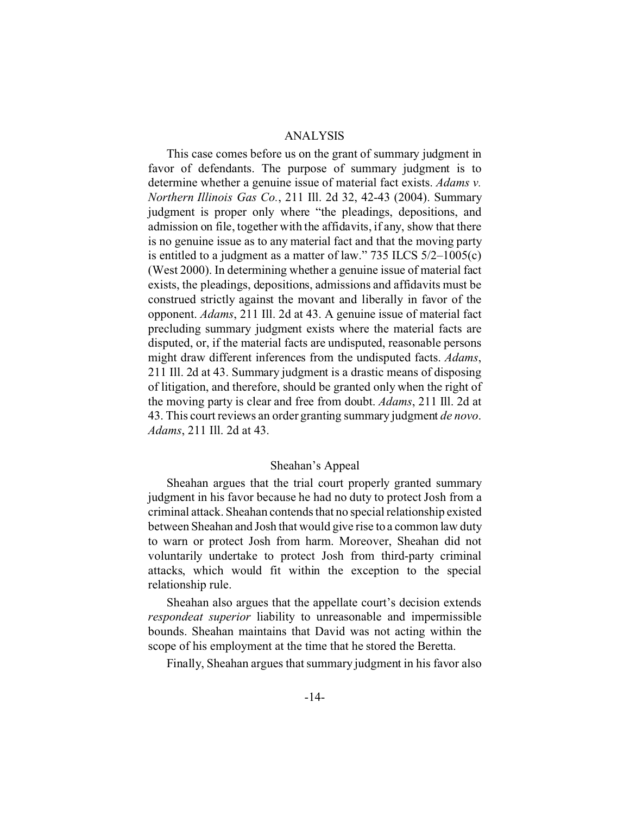## ANALYSIS

This case comes before us on the grant of summary judgment in favor of defendants. The purpose of summary judgment is to determine whether a genuine issue of material fact exists. *Adams v. Northern Illinois Gas Co.*, 211 Ill. 2d 32, 42-43 (2004). Summary judgment is proper only where "the pleadings, depositions, and admission on file, together with the affidavits, if any, show that there is no genuine issue as to any material fact and that the moving party is entitled to a judgment as a matter of law." 735 ILCS 5/2–1005(c) (West 2000). In determining whether a genuine issue of material fact exists, the pleadings, depositions, admissions and affidavits must be construed strictly against the movant and liberally in favor of the opponent. *Adams*, 211 Ill. 2d at 43. A genuine issue of material fact precluding summary judgment exists where the material facts are disputed, or, if the material facts are undisputed, reasonable persons might draw different inferences from the undisputed facts. *Adams*, 211 Ill. 2d at 43. Summary judgment is a drastic means of disposing of litigation, and therefore, should be granted only when the right of the moving party is clear and free from doubt. *Adams*, 211 Ill. 2d at 43. This court reviews an order granting summary judgment *de novo*. *Adams*, 211 Ill. 2d at 43.

### Sheahan's Appeal

Sheahan argues that the trial court properly granted summary judgment in his favor because he had no duty to protect Josh from a criminal attack. Sheahan contends that no special relationship existed between Sheahan and Josh that would give rise to a common law duty to warn or protect Josh from harm. Moreover, Sheahan did not voluntarily undertake to protect Josh from third-party criminal attacks, which would fit within the exception to the special relationship rule.

Sheahan also argues that the appellate court's decision extends *respondeat superior* liability to unreasonable and impermissible bounds. Sheahan maintains that David was not acting within the scope of his employment at the time that he stored the Beretta.

Finally, Sheahan argues that summary judgment in his favor also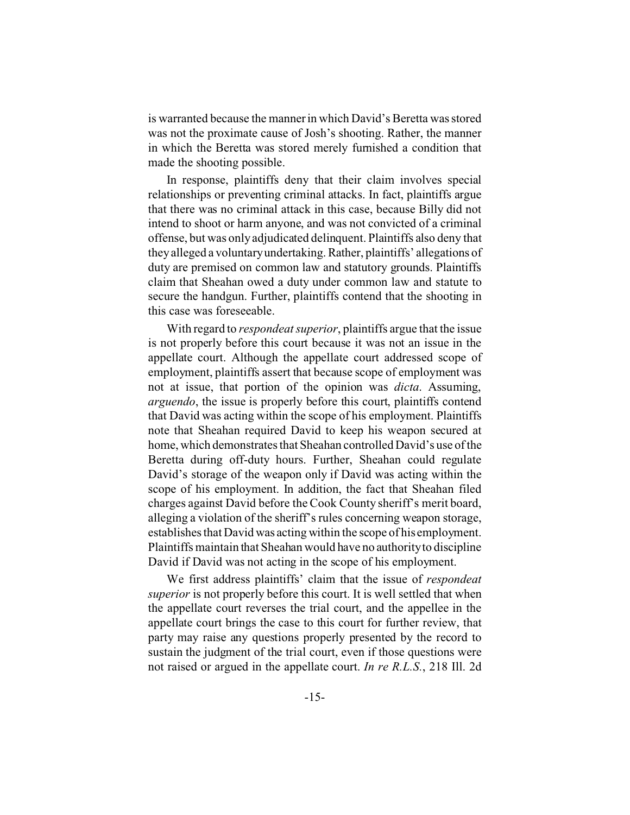is warranted because the manner in which David's Beretta was stored was not the proximate cause of Josh's shooting. Rather, the manner in which the Beretta was stored merely furnished a condition that made the shooting possible.

In response, plaintiffs deny that their claim involves special relationships or preventing criminal attacks. In fact, plaintiffs argue that there was no criminal attack in this case, because Billy did not intend to shoot or harm anyone, and was not convicted of a criminal offense, but was only adjudicated delinquent. Plaintiffs also deny that they alleged a voluntary undertaking. Rather, plaintiffs' allegations of duty are premised on common law and statutory grounds. Plaintiffs claim that Sheahan owed a duty under common law and statute to secure the handgun. Further, plaintiffs contend that the shooting in this case was foreseeable.

With regard to *respondeat superior*, plaintiffs argue that the issue is not properly before this court because it was not an issue in the appellate court. Although the appellate court addressed scope of employment, plaintiffs assert that because scope of employment was not at issue, that portion of the opinion was *dicta*. Assuming, *arguendo*, the issue is properly before this court, plaintiffs contend that David was acting within the scope of his employment. Plaintiffs note that Sheahan required David to keep his weapon secured at home, which demonstrates that Sheahan controlled David's use of the Beretta during off-duty hours. Further, Sheahan could regulate David's storage of the weapon only if David was acting within the scope of his employment. In addition, the fact that Sheahan filed charges against David before the Cook County sheriff's merit board, alleging a violation of the sheriff's rules concerning weapon storage, establishes that David was acting within the scope of his employment. Plaintiffs maintain that Sheahan would have no authority to discipline David if David was not acting in the scope of his employment.

We first address plaintiffs' claim that the issue of *respondeat superior* is not properly before this court. It is well settled that when the appellate court reverses the trial court, and the appellee in the appellate court brings the case to this court for further review, that party may raise any questions properly presented by the record to sustain the judgment of the trial court, even if those questions were not raised or argued in the appellate court. *In re R.L.S.*, 218 Ill. 2d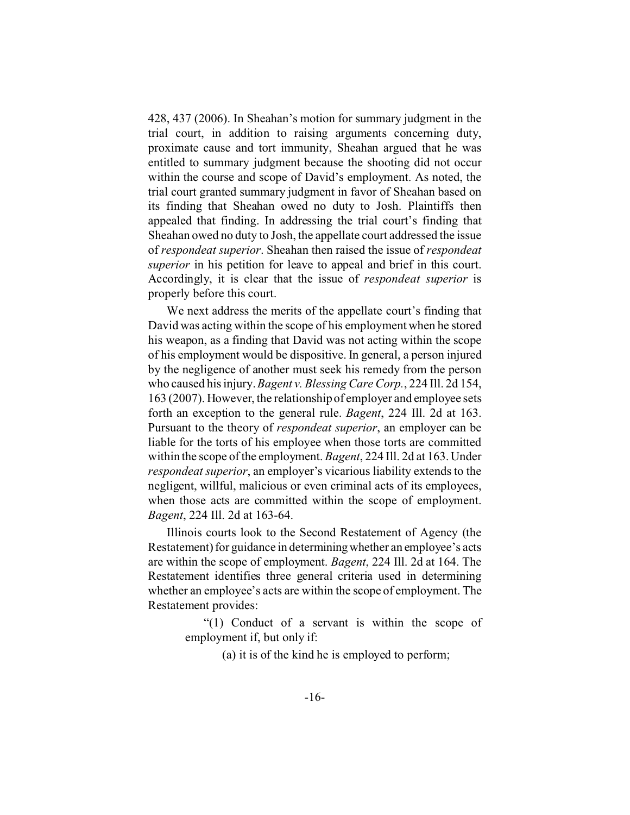428, 437 (2006). In Sheahan's motion for summary judgment in the trial court, in addition to raising arguments concerning duty, proximate cause and tort immunity, Sheahan argued that he was entitled to summary judgment because the shooting did not occur within the course and scope of David's employment. As noted, the trial court granted summary judgment in favor of Sheahan based on its finding that Sheahan owed no duty to Josh. Plaintiffs then appealed that finding. In addressing the trial court's finding that Sheahan owed no duty to Josh, the appellate court addressed the issue of *respondeat superior*. Sheahan then raised the issue of *respondeat superior* in his petition for leave to appeal and brief in this court. Accordingly, it is clear that the issue of *respondeat superior* is properly before this court.

We next address the merits of the appellate court's finding that David was acting within the scope of his employment when he stored his weapon, as a finding that David was not acting within the scope of his employment would be dispositive. In general, a person injured by the negligence of another must seek his remedy from the person who caused his injury. *Bagent v. Blessing Care Corp.*, 224 Ill. 2d 154, 163 (2007). However, the relationship of employer and employee sets forth an exception to the general rule. *Bagent*, 224 Ill. 2d at 163. Pursuant to the theory of *respondeat superior*, an employer can be liable for the torts of his employee when those torts are committed within the scope of the employment. *Bagent*, 224 Ill. 2d at 163. Under *respondeat superior*, an employer's vicarious liability extends to the negligent, willful, malicious or even criminal acts of its employees, when those acts are committed within the scope of employment. *Bagent*, 224 Ill. 2d at 163-64.

Illinois courts look to the Second Restatement of Agency (the Restatement) for guidance in determiningwhether an employee's acts are within the scope of employment. *Bagent*, 224 Ill. 2d at 164. The Restatement identifies three general criteria used in determining whether an employee's acts are within the scope of employment. The Restatement provides:

"(1) Conduct of a servant is within the scope of employment if, but only if:

(a) it is of the kind he is employed to perform;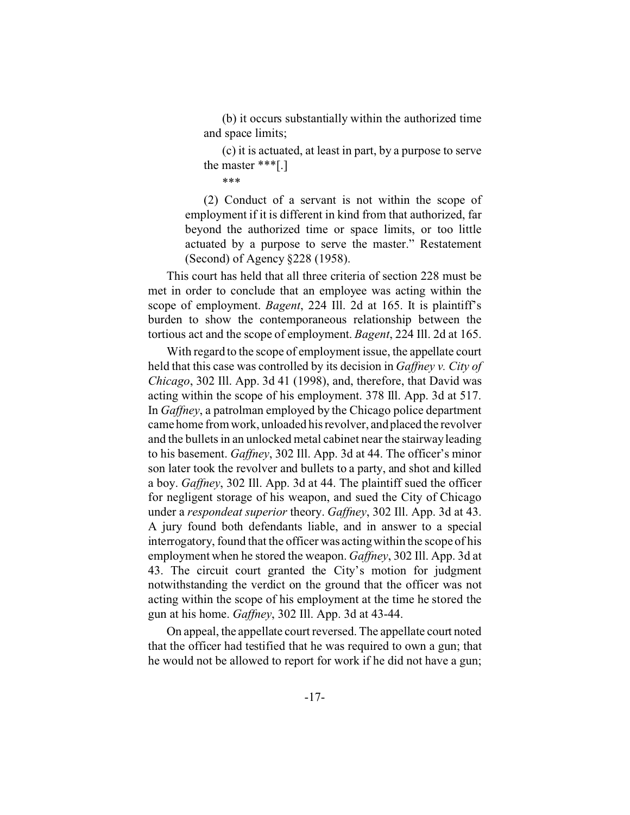(b) it occurs substantially within the authorized time and space limits;

(c) it is actuated, at least in part, by a purpose to serve the master \*\*\*[.]

\*\*\*

(2) Conduct of a servant is not within the scope of employment if it is different in kind from that authorized, far beyond the authorized time or space limits, or too little actuated by a purpose to serve the master." Restatement (Second) of Agency §228 (1958).

This court has held that all three criteria of section 228 must be met in order to conclude that an employee was acting within the scope of employment. *Bagent*, 224 Ill. 2d at 165. It is plaintiff's burden to show the contemporaneous relationship between the tortious act and the scope of employment. *Bagent*, 224 Ill. 2d at 165.

With regard to the scope of employment issue, the appellate court held that this case was controlled by its decision in *Gaffney v. City of Chicago*, 302 Ill. App. 3d 41 (1998), and, therefore, that David was acting within the scope of his employment. 378 Ill. App. 3d at 517. In *Gaffney*, a patrolman employed by the Chicago police department came home from work, unloaded his revolver, and placed the revolver and the bullets in an unlocked metal cabinet near the stairway leading to his basement. *Gaffney*, 302 Ill. App. 3d at 44. The officer's minor son later took the revolver and bullets to a party, and shot and killed a boy. *Gaffney*, 302 Ill. App. 3d at 44. The plaintiff sued the officer for negligent storage of his weapon, and sued the City of Chicago under a *respondeat superior* theory. *Gaffney*, 302 Ill. App. 3d at 43. A jury found both defendants liable, and in answer to a special interrogatory, found that the officer was acting within the scope of his employment when he stored the weapon. *Gaffney*, 302 Ill. App. 3d at 43. The circuit court granted the City's motion for judgment notwithstanding the verdict on the ground that the officer was not acting within the scope of his employment at the time he stored the gun at his home. *Gaffney*, 302 Ill. App. 3d at 43-44.

On appeal, the appellate court reversed. The appellate court noted that the officer had testified that he was required to own a gun; that he would not be allowed to report for work if he did not have a gun;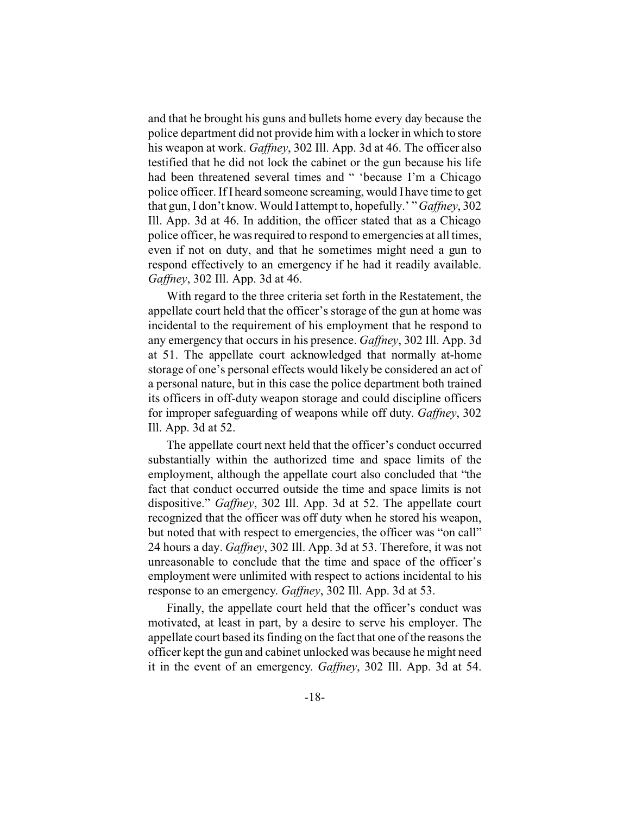and that he brought his guns and bullets home every day because the police department did not provide him with a locker in which to store his weapon at work. *Gaffney*, 302 Ill. App. 3d at 46. The officer also testified that he did not lock the cabinet or the gun because his life had been threatened several times and " 'because I'm a Chicago police officer. If I heard someone screaming, would I have time to get that gun, I don't know. Would I attempt to, hopefully.' "*Gaffney*, 302 Ill. App. 3d at 46. In addition, the officer stated that as a Chicago police officer, he was required to respond to emergencies at all times, even if not on duty, and that he sometimes might need a gun to respond effectively to an emergency if he had it readily available. *Gaffney*, 302 Ill. App. 3d at 46.

With regard to the three criteria set forth in the Restatement, the appellate court held that the officer's storage of the gun at home was incidental to the requirement of his employment that he respond to any emergency that occurs in his presence. *Gaffney*, 302 Ill. App. 3d at 51. The appellate court acknowledged that normally at-home storage of one's personal effects would likely be considered an act of a personal nature, but in this case the police department both trained its officers in off-duty weapon storage and could discipline officers for improper safeguarding of weapons while off duty. *Gaffney*, 302 Ill. App. 3d at 52.

The appellate court next held that the officer's conduct occurred substantially within the authorized time and space limits of the employment, although the appellate court also concluded that "the fact that conduct occurred outside the time and space limits is not dispositive." *Gaffney*, 302 Ill. App. 3d at 52. The appellate court recognized that the officer was off duty when he stored his weapon, but noted that with respect to emergencies, the officer was "on call" 24 hours a day. *Gaffney*, 302 Ill. App. 3d at 53. Therefore, it was not unreasonable to conclude that the time and space of the officer's employment were unlimited with respect to actions incidental to his response to an emergency. *Gaffney*, 302 Ill. App. 3d at 53.

Finally, the appellate court held that the officer's conduct was motivated, at least in part, by a desire to serve his employer. The appellate court based its finding on the fact that one of the reasons the officer kept the gun and cabinet unlocked was because he might need it in the event of an emergency. *Gaffney*, 302 Ill. App. 3d at 54.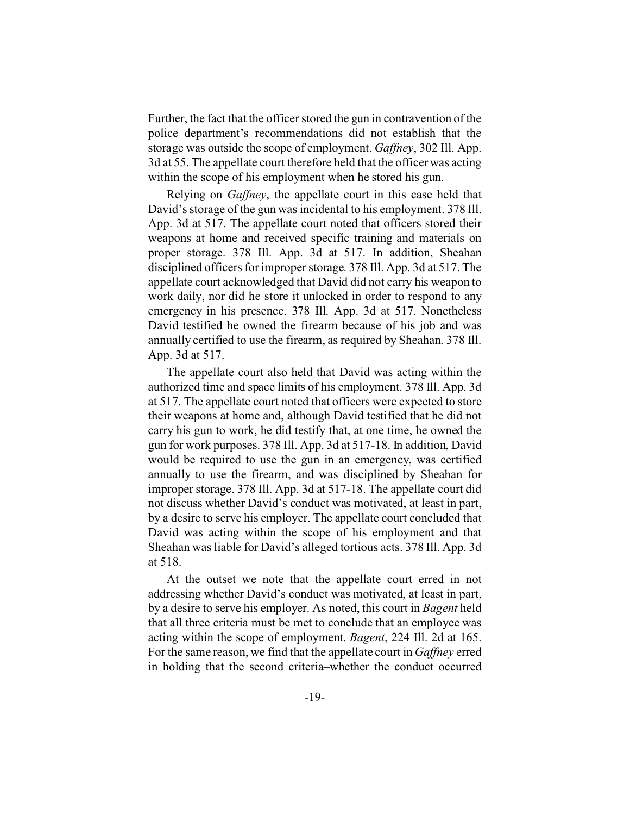Further, the fact that the officer stored the gun in contravention of the police department's recommendations did not establish that the storage was outside the scope of employment. *Gaffney*, 302 Ill. App. 3d at 55. The appellate court therefore held that the officer was acting within the scope of his employment when he stored his gun.

Relying on *Gaffney*, the appellate court in this case held that David's storage of the gun was incidental to his employment. 378 Ill. App. 3d at 517. The appellate court noted that officers stored their weapons at home and received specific training and materials on proper storage. 378 Ill. App. 3d at 517. In addition, Sheahan disciplined officers for improper storage. 378 Ill. App. 3d at 517. The appellate court acknowledged that David did not carry his weapon to work daily, nor did he store it unlocked in order to respond to any emergency in his presence. 378 Ill. App. 3d at 517. Nonetheless David testified he owned the firearm because of his job and was annually certified to use the firearm, as required by Sheahan. 378 Ill. App. 3d at 517.

The appellate court also held that David was acting within the authorized time and space limits of his employment. 378 Ill. App. 3d at 517. The appellate court noted that officers were expected to store their weapons at home and, although David testified that he did not carry his gun to work, he did testify that, at one time, he owned the gun for work purposes. 378 Ill. App. 3d at 517-18. In addition, David would be required to use the gun in an emergency, was certified annually to use the firearm, and was disciplined by Sheahan for improper storage. 378 Ill. App. 3d at 517-18. The appellate court did not discuss whether David's conduct was motivated, at least in part, by a desire to serve his employer. The appellate court concluded that David was acting within the scope of his employment and that Sheahan was liable for David's alleged tortious acts. 378 Ill. App. 3d at 518.

At the outset we note that the appellate court erred in not addressing whether David's conduct was motivated, at least in part, by a desire to serve his employer. As noted, this court in *Bagent* held that all three criteria must be met to conclude that an employee was acting within the scope of employment. *Bagent*, 224 Ill. 2d at 165. For the same reason, we find that the appellate court in *Gaffney* erred in holding that the second criteria–whether the conduct occurred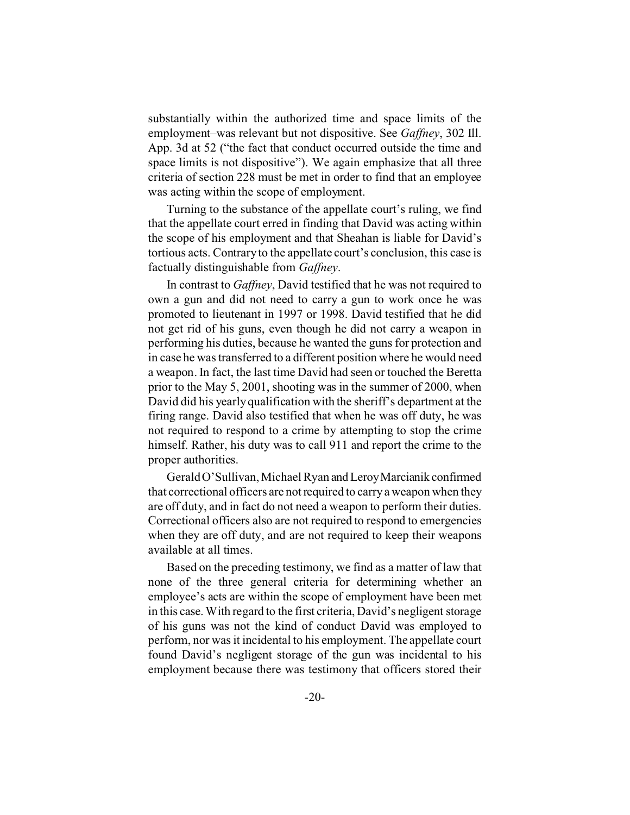substantially within the authorized time and space limits of the employment–was relevant but not dispositive. See *Gaffney*, 302 Ill. App. 3d at 52 ("the fact that conduct occurred outside the time and space limits is not dispositive"). We again emphasize that all three criteria of section 228 must be met in order to find that an employee was acting within the scope of employment.

Turning to the substance of the appellate court's ruling, we find that the appellate court erred in finding that David was acting within the scope of his employment and that Sheahan is liable for David's tortious acts. Contrary to the appellate court's conclusion, this case is factually distinguishable from *Gaffney*.

In contrast to *Gaffney*, David testified that he was not required to own a gun and did not need to carry a gun to work once he was promoted to lieutenant in 1997 or 1998. David testified that he did not get rid of his guns, even though he did not carry a weapon in performing his duties, because he wanted the guns for protection and in case he was transferred to a different position where he would need a weapon. In fact, the last time David had seen or touched the Beretta prior to the May 5, 2001, shooting was in the summer of 2000, when David did his yearly qualification with the sheriff's department at the firing range. David also testified that when he was off duty, he was not required to respond to a crime by attempting to stop the crime himself. Rather, his duty was to call 911 and report the crime to the proper authorities.

Gerald O'Sullivan, Michael Ryan andLeroyMarcianik confirmed that correctional officers are not required to carry a weapon when they are off duty, and in fact do not need a weapon to perform their duties. Correctional officers also are not required to respond to emergencies when they are off duty, and are not required to keep their weapons available at all times.

Based on the preceding testimony, we find as a matter of law that none of the three general criteria for determining whether an employee's acts are within the scope of employment have been met in this case. With regard to the first criteria, David's negligent storage of his guns was not the kind of conduct David was employed to perform, nor was it incidental to his employment. The appellate court found David's negligent storage of the gun was incidental to his employment because there was testimony that officers stored their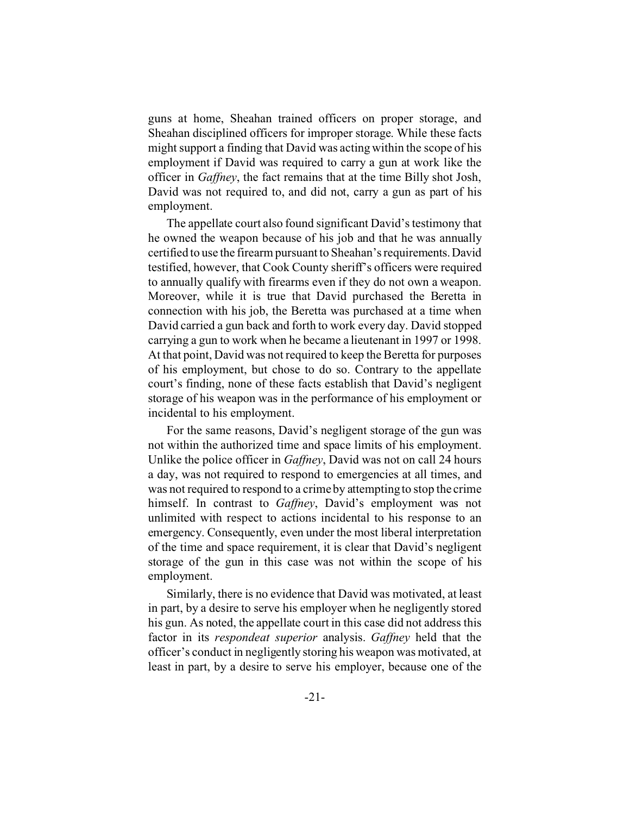guns at home, Sheahan trained officers on proper storage, and Sheahan disciplined officers for improper storage. While these facts might support a finding that David was acting within the scope of his employment if David was required to carry a gun at work like the officer in *Gaffney*, the fact remains that at the time Billy shot Josh, David was not required to, and did not, carry a gun as part of his employment.

The appellate court also found significant David's testimony that he owned the weapon because of his job and that he was annually certified to use the firearm pursuant to Sheahan's requirements.David testified, however, that Cook County sheriff's officers were required to annually qualify with firearms even if they do not own a weapon. Moreover, while it is true that David purchased the Beretta in connection with his job, the Beretta was purchased at a time when David carried a gun back and forth to work every day. David stopped carrying a gun to work when he became a lieutenant in 1997 or 1998. At that point, David was not required to keep the Beretta for purposes of his employment, but chose to do so. Contrary to the appellate court's finding, none of these facts establish that David's negligent storage of his weapon was in the performance of his employment or incidental to his employment.

For the same reasons, David's negligent storage of the gun was not within the authorized time and space limits of his employment. Unlike the police officer in *Gaffney*, David was not on call 24 hours a day, was not required to respond to emergencies at all times, and was not required to respond to a crime by attempting to stop the crime himself. In contrast to *Gaffney*, David's employment was not unlimited with respect to actions incidental to his response to an emergency. Consequently, even under the most liberal interpretation of the time and space requirement, it is clear that David's negligent storage of the gun in this case was not within the scope of his employment.

Similarly, there is no evidence that David was motivated, at least in part, by a desire to serve his employer when he negligently stored his gun. As noted, the appellate court in this case did not address this factor in its *respondeat superior* analysis. *Gaffney* held that the officer's conduct in negligently storing his weapon was motivated, at least in part, by a desire to serve his employer, because one of the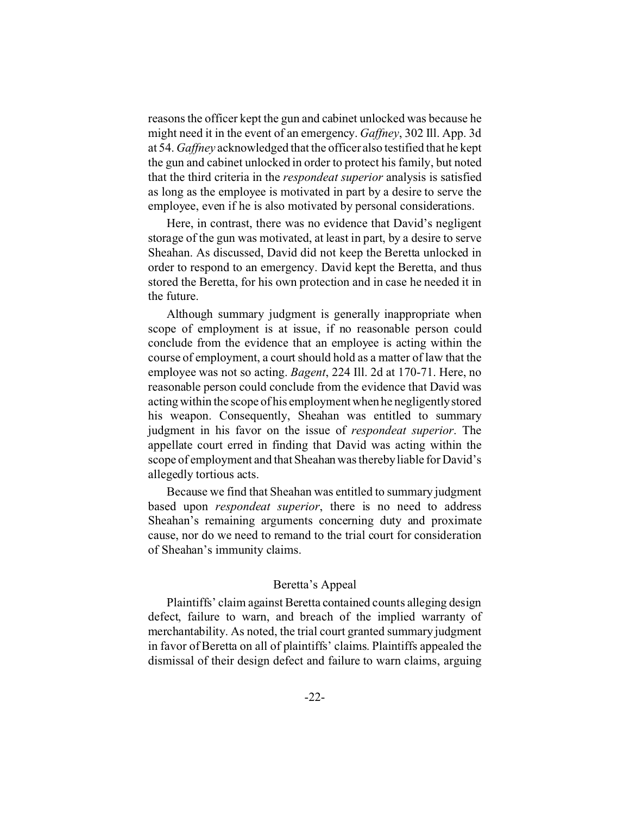reasons the officer kept the gun and cabinet unlocked was because he might need it in the event of an emergency. *Gaffney*, 302 Ill. App. 3d at 54. *Gaffney* acknowledged that the officer also testified that he kept the gun and cabinet unlocked in order to protect his family, but noted that the third criteria in the *respondeat superior* analysis is satisfied as long as the employee is motivated in part by a desire to serve the employee, even if he is also motivated by personal considerations.

Here, in contrast, there was no evidence that David's negligent storage of the gun was motivated, at least in part, by a desire to serve Sheahan. As discussed, David did not keep the Beretta unlocked in order to respond to an emergency. David kept the Beretta, and thus stored the Beretta, for his own protection and in case he needed it in the future.

Although summary judgment is generally inappropriate when scope of employment is at issue, if no reasonable person could conclude from the evidence that an employee is acting within the course of employment, a court should hold as a matter of law that the employee was not so acting. *Bagent*, 224 Ill. 2d at 170-71. Here, no reasonable person could conclude from the evidence that David was acting within the scope of his employment when he negligently stored his weapon. Consequently, Sheahan was entitled to summary judgment in his favor on the issue of *respondeat superior*. The appellate court erred in finding that David was acting within the scope of employment and that Sheahan was thereby liable for David's allegedly tortious acts.

Because we find that Sheahan was entitled to summary judgment based upon *respondeat superior*, there is no need to address Sheahan's remaining arguments concerning duty and proximate cause, nor do we need to remand to the trial court for consideration of Sheahan's immunity claims.

#### Beretta's Appeal

Plaintiffs' claim against Beretta contained counts alleging design defect, failure to warn, and breach of the implied warranty of merchantability. As noted, the trial court granted summary judgment in favor of Beretta on all of plaintiffs' claims. Plaintiffs appealed the dismissal of their design defect and failure to warn claims, arguing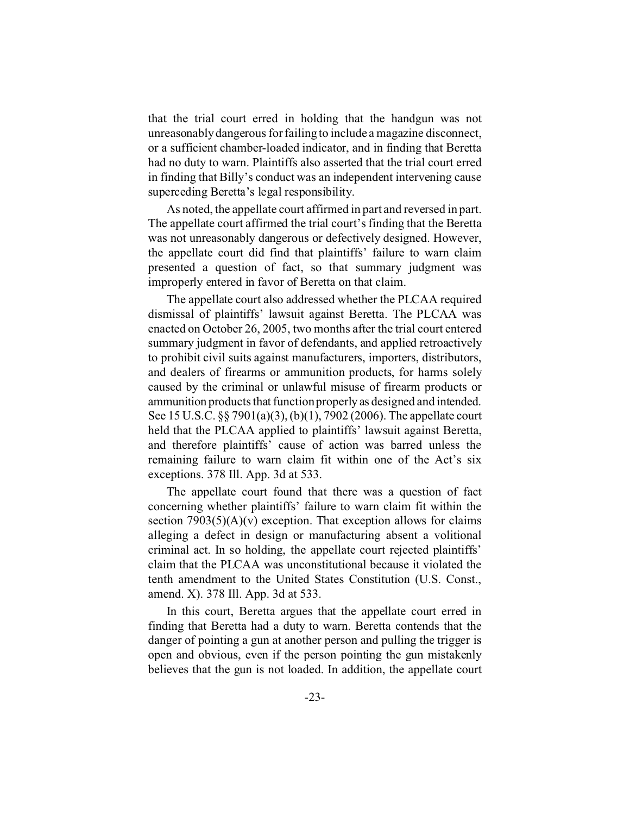that the trial court erred in holding that the handgun was not unreasonably dangerous for failing to include a magazine disconnect, or a sufficient chamber-loaded indicator, and in finding that Beretta had no duty to warn. Plaintiffs also asserted that the trial court erred in finding that Billy's conduct was an independent intervening cause superceding Beretta's legal responsibility.

As noted, the appellate court affirmed in part and reversed in part. The appellate court affirmed the trial court's finding that the Beretta was not unreasonably dangerous or defectively designed. However, the appellate court did find that plaintiffs' failure to warn claim presented a question of fact, so that summary judgment was improperly entered in favor of Beretta on that claim.

The appellate court also addressed whether the PLCAA required dismissal of plaintiffs' lawsuit against Beretta. The PLCAA was enacted on October 26, 2005, two months after the trial court entered summary judgment in favor of defendants, and applied retroactively to prohibit civil suits against manufacturers, importers, distributors, and dealers of firearms or ammunition products, for harms solely caused by the criminal or unlawful misuse of firearm products or ammunition products that function properly as designed and intended. See 15 U.S.C. §§ 7901(a)(3), (b)(1), 7902 (2006). The appellate court held that the PLCAA applied to plaintiffs' lawsuit against Beretta, and therefore plaintiffs' cause of action was barred unless the remaining failure to warn claim fit within one of the Act's six exceptions. 378 Ill. App. 3d at 533.

The appellate court found that there was a question of fact concerning whether plaintiffs' failure to warn claim fit within the section  $7903(5)(A)(v)$  exception. That exception allows for claims alleging a defect in design or manufacturing absent a volitional criminal act. In so holding, the appellate court rejected plaintiffs' claim that the PLCAA was unconstitutional because it violated the tenth amendment to the United States Constitution (U.S. Const., amend. X). 378 Ill. App. 3d at 533.

In this court, Beretta argues that the appellate court erred in finding that Beretta had a duty to warn. Beretta contends that the danger of pointing a gun at another person and pulling the trigger is open and obvious, even if the person pointing the gun mistakenly believes that the gun is not loaded. In addition, the appellate court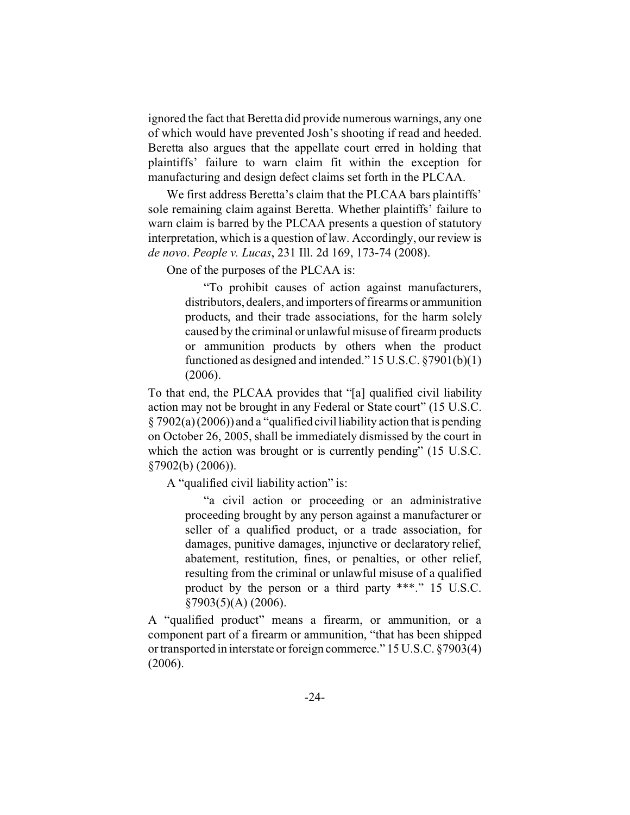ignored the fact that Beretta did provide numerous warnings, any one of which would have prevented Josh's shooting if read and heeded. Beretta also argues that the appellate court erred in holding that plaintiffs' failure to warn claim fit within the exception for manufacturing and design defect claims set forth in the PLCAA.

We first address Beretta's claim that the PLCAA bars plaintiffs' sole remaining claim against Beretta. Whether plaintiffs' failure to warn claim is barred by the PLCAA presents a question of statutory interpretation, which is a question of law. Accordingly, our review is *de novo*. *People v. Lucas*, 231 Ill. 2d 169, 173-74 (2008).

One of the purposes of the PLCAA is:

"To prohibit causes of action against manufacturers, distributors, dealers, and importers of firearms or ammunition products, and their trade associations, for the harm solely caused by the criminal or unlawful misuse of firearm products or ammunition products by others when the product functioned as designed and intended." 15 U.S.C. §7901(b)(1) (2006).

To that end, the PLCAA provides that "[a] qualified civil liability action may not be brought in any Federal or State court" (15 U.S.C. § 7902(a) (2006)) and a "qualified civil liability action that is pending on October 26, 2005, shall be immediately dismissed by the court in which the action was brought or is currently pending" (15 U.S.C. §7902(b) (2006)).

A "qualified civil liability action" is:

"a civil action or proceeding or an administrative proceeding brought by any person against a manufacturer or seller of a qualified product, or a trade association, for damages, punitive damages, injunctive or declaratory relief, abatement, restitution, fines, or penalties, or other relief, resulting from the criminal or unlawful misuse of a qualified product by the person or a third party \*\*\*." 15 U.S.C. §7903(5)(A) (2006).

A "qualified product" means a firearm, or ammunition, or a component part of a firearm or ammunition, "that has been shipped or transported in interstate or foreign commerce." 15 U.S.C. §7903(4) (2006).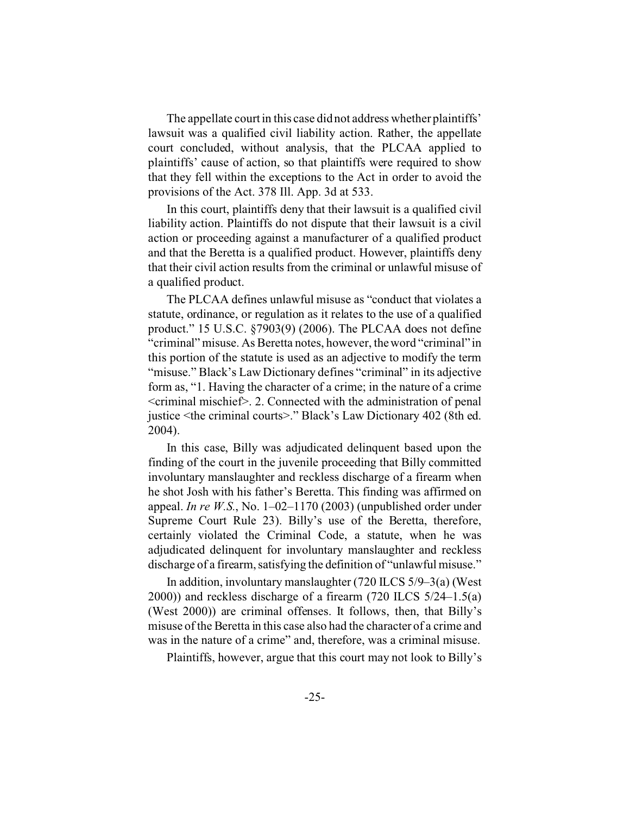The appellate court in this case did not address whether plaintiffs' lawsuit was a qualified civil liability action. Rather, the appellate court concluded, without analysis, that the PLCAA applied to plaintiffs' cause of action, so that plaintiffs were required to show that they fell within the exceptions to the Act in order to avoid the provisions of the Act. 378 Ill. App. 3d at 533.

In this court, plaintiffs deny that their lawsuit is a qualified civil liability action. Plaintiffs do not dispute that their lawsuit is a civil action or proceeding against a manufacturer of a qualified product and that the Beretta is a qualified product. However, plaintiffs deny that their civil action results from the criminal or unlawful misuse of a qualified product.

The PLCAA defines unlawful misuse as "conduct that violates a statute, ordinance, or regulation as it relates to the use of a qualified product." 15 U.S.C. §7903(9) (2006). The PLCAA does not define "criminal" misuse. As Beretta notes, however, the word "criminal" in this portion of the statute is used as an adjective to modify the term "misuse." Black's Law Dictionary defines "criminal" in its adjective form as, "1. Having the character of a crime; in the nature of a crime <criminal mischief>. 2. Connected with the administration of penal justice <the criminal courts>." Black's Law Dictionary 402 (8th ed. 2004).

In this case, Billy was adjudicated delinquent based upon the finding of the court in the juvenile proceeding that Billy committed involuntary manslaughter and reckless discharge of a firearm when he shot Josh with his father's Beretta. This finding was affirmed on appeal. *In re W.S.*, No. 1–02–1170 (2003) (unpublished order under Supreme Court Rule 23). Billy's use of the Beretta, therefore, certainly violated the Criminal Code, a statute, when he was adjudicated delinquent for involuntary manslaughter and reckless discharge of a firearm, satisfying the definition of "unlawful misuse."

In addition, involuntary manslaughter (720 ILCS 5/9–3(a) (West 2000)) and reckless discharge of a firearm (720 ILCS 5/24–1.5(a) (West 2000)) are criminal offenses. It follows, then, that Billy's misuse of the Beretta in this case also had the character of a crime and was in the nature of a crime" and, therefore, was a criminal misuse.

Plaintiffs, however, argue that this court may not look to Billy's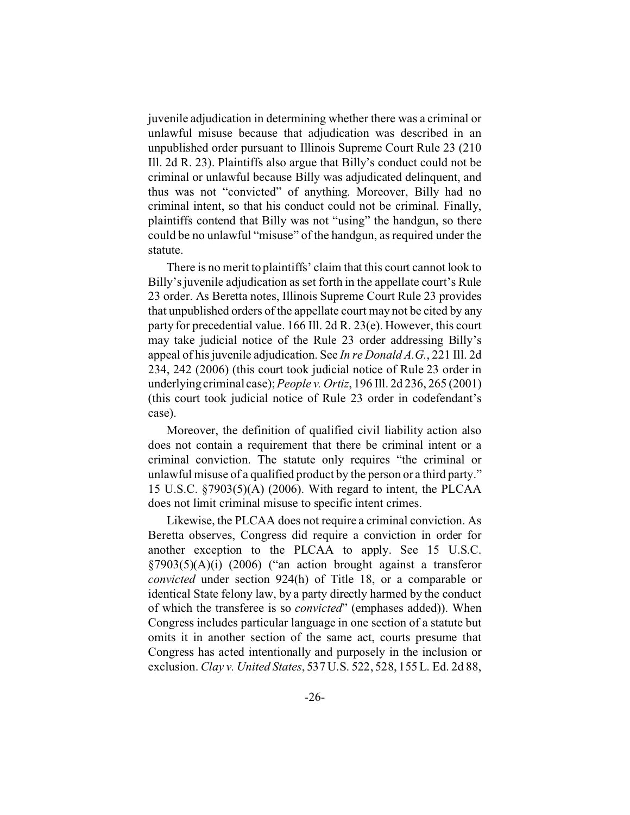juvenile adjudication in determining whether there was a criminal or unlawful misuse because that adjudication was described in an unpublished order pursuant to Illinois Supreme Court Rule 23 (210 Ill. 2d R. 23). Plaintiffs also argue that Billy's conduct could not be criminal or unlawful because Billy was adjudicated delinquent, and thus was not "convicted" of anything. Moreover, Billy had no criminal intent, so that his conduct could not be criminal. Finally, plaintiffs contend that Billy was not "using" the handgun, so there could be no unlawful "misuse" of the handgun, as required under the statute.

There is no merit to plaintiffs' claim that this court cannot look to Billy's juvenile adjudication as set forth in the appellate court's Rule 23 order. As Beretta notes, Illinois Supreme Court Rule 23 provides that unpublished orders of the appellate court may not be cited by any party for precedential value. 166 Ill. 2d R. 23(e). However, this court may take judicial notice of the Rule 23 order addressing Billy's appeal of his juvenile adjudication. See *In re Donald A.G.*, 221 Ill. 2d 234, 242 (2006) (this court took judicial notice of Rule 23 order in underlying criminal case);*People v. Ortiz*, 196 Ill. 2d 236, 265 (2001) (this court took judicial notice of Rule 23 order in codefendant's case).

Moreover, the definition of qualified civil liability action also does not contain a requirement that there be criminal intent or a criminal conviction. The statute only requires "the criminal or unlawful misuse of a qualified product by the person or a third party." 15 U.S.C. §7903(5)(A) (2006). With regard to intent, the PLCAA does not limit criminal misuse to specific intent crimes.

Likewise, the PLCAA does not require a criminal conviction. As Beretta observes, Congress did require a conviction in order for another exception to the PLCAA to apply. See 15 U.S.C. §7903(5)(A)(i) (2006) ("an action brought against a transferor *convicted* under section 924(h) of Title 18, or a comparable or identical State felony law, by a party directly harmed by the conduct of which the transferee is so *convicted*" (emphases added)). When Congress includes particular language in one section of a statute but omits it in another section of the same act, courts presume that Congress has acted intentionally and purposely in the inclusion or exclusion. *Clay v. United States*, 537 U.S. 522, 528, 155 L. Ed. 2d 88,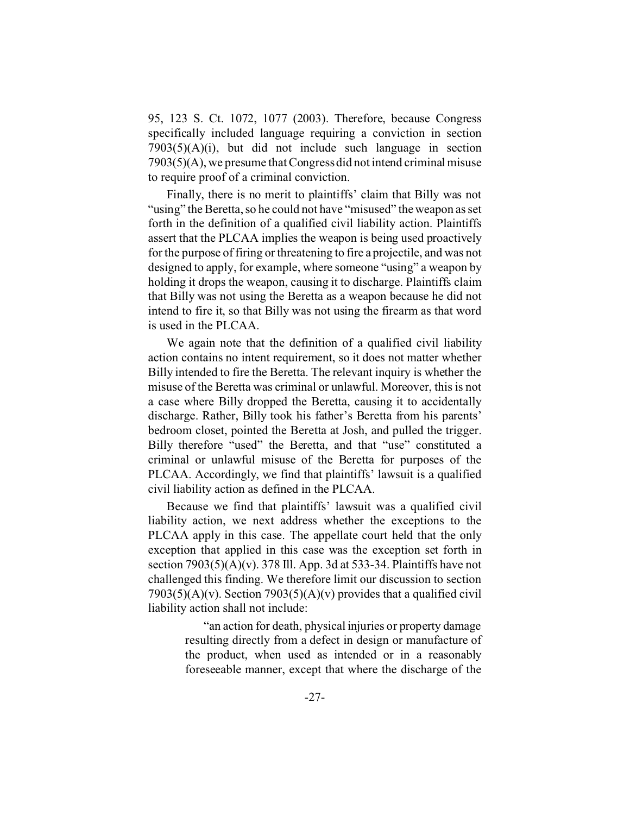95, 123 S. Ct. 1072, 1077 (2003). Therefore, because Congress specifically included language requiring a conviction in section 7903(5)(A)(i), but did not include such language in section 7903(5)(A), we presume that Congress did not intend criminal misuse to require proof of a criminal conviction.

Finally, there is no merit to plaintiffs' claim that Billy was not "using" the Beretta, so he could not have "misused" the weapon as set forth in the definition of a qualified civil liability action. Plaintiffs assert that the PLCAA implies the weapon is being used proactively for the purpose of firing or threatening to fire a projectile, and was not designed to apply, for example, where someone "using" a weapon by holding it drops the weapon, causing it to discharge. Plaintiffs claim that Billy was not using the Beretta as a weapon because he did not intend to fire it, so that Billy was not using the firearm as that word is used in the PLCAA.

We again note that the definition of a qualified civil liability action contains no intent requirement, so it does not matter whether Billy intended to fire the Beretta. The relevant inquiry is whether the misuse of the Beretta was criminal or unlawful. Moreover, this is not a case where Billy dropped the Beretta, causing it to accidentally discharge. Rather, Billy took his father's Beretta from his parents' bedroom closet, pointed the Beretta at Josh, and pulled the trigger. Billy therefore "used" the Beretta, and that "use" constituted a criminal or unlawful misuse of the Beretta for purposes of the PLCAA. Accordingly, we find that plaintiffs' lawsuit is a qualified civil liability action as defined in the PLCAA.

Because we find that plaintiffs' lawsuit was a qualified civil liability action, we next address whether the exceptions to the PLCAA apply in this case. The appellate court held that the only exception that applied in this case was the exception set forth in section  $7903(5)(A)(v)$ . 378 Ill. App. 3d at 533-34. Plaintiffs have not challenged this finding. We therefore limit our discussion to section  $7903(5)(A)(v)$ . Section  $7903(5)(A)(v)$  provides that a qualified civil liability action shall not include:

> "an action for death, physical injuries or property damage resulting directly from a defect in design or manufacture of the product, when used as intended or in a reasonably foreseeable manner, except that where the discharge of the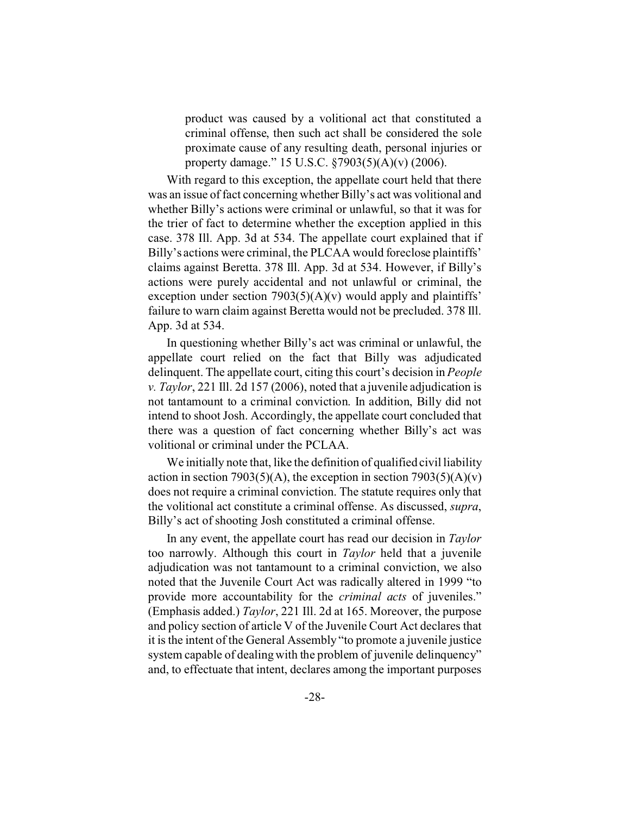product was caused by a volitional act that constituted a criminal offense, then such act shall be considered the sole proximate cause of any resulting death, personal injuries or property damage." 15 U.S.C. §7903(5)(A)(v) (2006).

With regard to this exception, the appellate court held that there was an issue of fact concerning whether Billy's act was volitional and whether Billy's actions were criminal or unlawful, so that it was for the trier of fact to determine whether the exception applied in this case. 378 Ill. App. 3d at 534. The appellate court explained that if Billy's actions were criminal, the PLCAA would foreclose plaintiffs' claims against Beretta. 378 Ill. App. 3d at 534. However, if Billy's actions were purely accidental and not unlawful or criminal, the exception under section  $7903(5)(A)(v)$  would apply and plaintiffs' failure to warn claim against Beretta would not be precluded. 378 Ill. App. 3d at 534.

In questioning whether Billy's act was criminal or unlawful, the appellate court relied on the fact that Billy was adjudicated delinquent. The appellate court, citing this court's decision in *People v. Taylor*, 221 Ill. 2d 157 (2006), noted that a juvenile adjudication is not tantamount to a criminal conviction. In addition, Billy did not intend to shoot Josh. Accordingly, the appellate court concluded that there was a question of fact concerning whether Billy's act was volitional or criminal under the PCLAA.

We initially note that, like the definition of qualified civil liability action in section 7903(5)(A), the exception in section 7903(5)(A)(v) does not require a criminal conviction. The statute requires only that the volitional act constitute a criminal offense. As discussed, *supra*, Billy's act of shooting Josh constituted a criminal offense.

In any event, the appellate court has read our decision in *Taylor* too narrowly. Although this court in *Taylor* held that a juvenile adjudication was not tantamount to a criminal conviction, we also noted that the Juvenile Court Act was radically altered in 1999 "to provide more accountability for the *criminal acts* of juveniles." (Emphasis added.) *Taylor*, 221 Ill. 2d at 165. Moreover, the purpose and policy section of article V of the Juvenile Court Act declares that it is the intent of the General Assembly "to promote a juvenile justice system capable of dealing with the problem of juvenile delinquency" and, to effectuate that intent, declares among the important purposes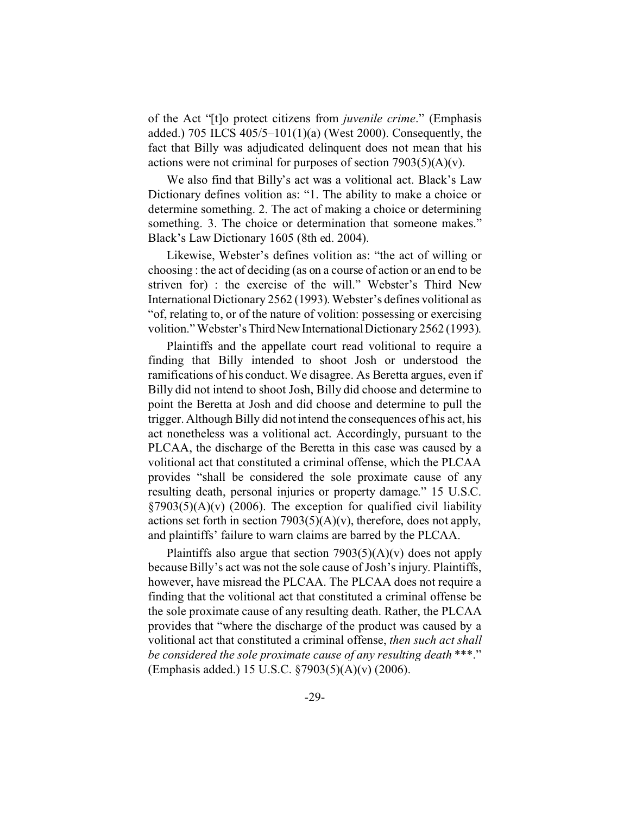of the Act "[t]o protect citizens from *juvenile crime*." (Emphasis added.) 705 ILCS 405/5–101(1)(a) (West 2000). Consequently, the fact that Billy was adjudicated delinquent does not mean that his actions were not criminal for purposes of section  $7903(5)(A)(v)$ .

We also find that Billy's act was a volitional act. Black's Law Dictionary defines volition as: "1. The ability to make a choice or determine something. 2. The act of making a choice or determining something. 3. The choice or determination that someone makes." Black's Law Dictionary 1605 (8th ed. 2004).

Likewise, Webster's defines volition as: "the act of willing or choosing : the act of deciding (as on a course of action or an end to be striven for) : the exercise of the will." Webster's Third New International Dictionary 2562 (1993). Webster's defines volitional as "of, relating to, or of the nature of volition: possessing or exercising volition." Webster's Third New International Dictionary 2562 (1993).

Plaintiffs and the appellate court read volitional to require a finding that Billy intended to shoot Josh or understood the ramifications of his conduct. We disagree. As Beretta argues, even if Billy did not intend to shoot Josh, Billy did choose and determine to point the Beretta at Josh and did choose and determine to pull the trigger. Although Billy did not intend the consequences of his act, his act nonetheless was a volitional act. Accordingly, pursuant to the PLCAA, the discharge of the Beretta in this case was caused by a volitional act that constituted a criminal offense, which the PLCAA provides "shall be considered the sole proximate cause of any resulting death, personal injuries or property damage." 15 U.S.C.  $\S7903(5)(A)(v)$  (2006). The exception for qualified civil liability actions set forth in section  $7903(5)(A)(v)$ , therefore, does not apply, and plaintiffs' failure to warn claims are barred by the PLCAA.

Plaintiffs also argue that section  $7903(5)(A)(v)$  does not apply because Billy's act was not the sole cause of Josh's injury. Plaintiffs, however, have misread the PLCAA. The PLCAA does not require a finding that the volitional act that constituted a criminal offense be the sole proximate cause of any resulting death. Rather, the PLCAA provides that "where the discharge of the product was caused by a volitional act that constituted a criminal offense, *then such act shall be considered the sole proximate cause of any resulting death* \*\*\*." (Emphasis added.) 15 U.S.C. §7903(5)(A)(v) (2006).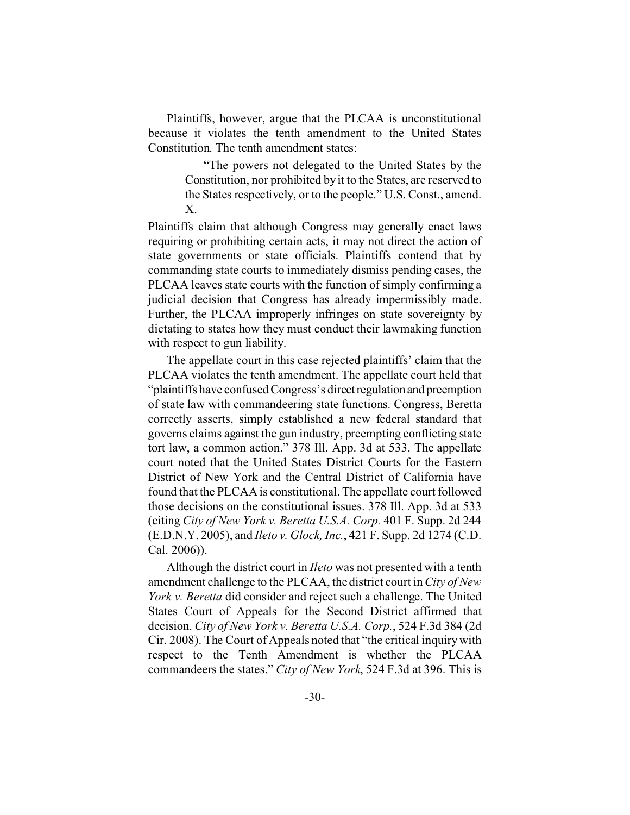Plaintiffs, however, argue that the PLCAA is unconstitutional because it violates the tenth amendment to the United States Constitution. The tenth amendment states:

> "The powers not delegated to the United States by the Constitution, nor prohibited by it to the States, are reserved to the States respectively, or to the people." U.S. Const., amend. X.

Plaintiffs claim that although Congress may generally enact laws requiring or prohibiting certain acts, it may not direct the action of state governments or state officials. Plaintiffs contend that by commanding state courts to immediately dismiss pending cases, the PLCAA leaves state courts with the function of simply confirming a judicial decision that Congress has already impermissibly made. Further, the PLCAA improperly infringes on state sovereignty by dictating to states how they must conduct their lawmaking function with respect to gun liability.

The appellate court in this case rejected plaintiffs' claim that the PLCAA violates the tenth amendment. The appellate court held that "plaintiffs have confused Congress's direct regulation and preemption of state law with commandeering state functions. Congress, Beretta correctly asserts, simply established a new federal standard that governs claims against the gun industry, preempting conflicting state tort law, a common action." 378 Ill. App. 3d at 533. The appellate court noted that the United States District Courts for the Eastern District of New York and the Central District of California have found that the PLCAA is constitutional. The appellate court followed those decisions on the constitutional issues. 378 Ill. App. 3d at 533 (citing *City of New York v. Beretta U.S.A. Corp.* 401 F. Supp. 2d 244 (E.D.N.Y. 2005), and *Ileto v. Glock, Inc.*, 421 F. Supp. 2d 1274 (C.D. Cal. 2006)).

Although the district court in *Ileto* was not presented with a tenth amendment challenge to the PLCAA, the district court in*City of New York v. Beretta* did consider and reject such a challenge. The United States Court of Appeals for the Second District affirmed that decision. *City of New York v. Beretta U.S.A. Corp.*, 524 F.3d 384 (2d Cir. 2008). The Court of Appeals noted that "the critical inquiry with respect to the Tenth Amendment is whether the PLCAA commandeers the states." *City of New York*, 524 F.3d at 396. This is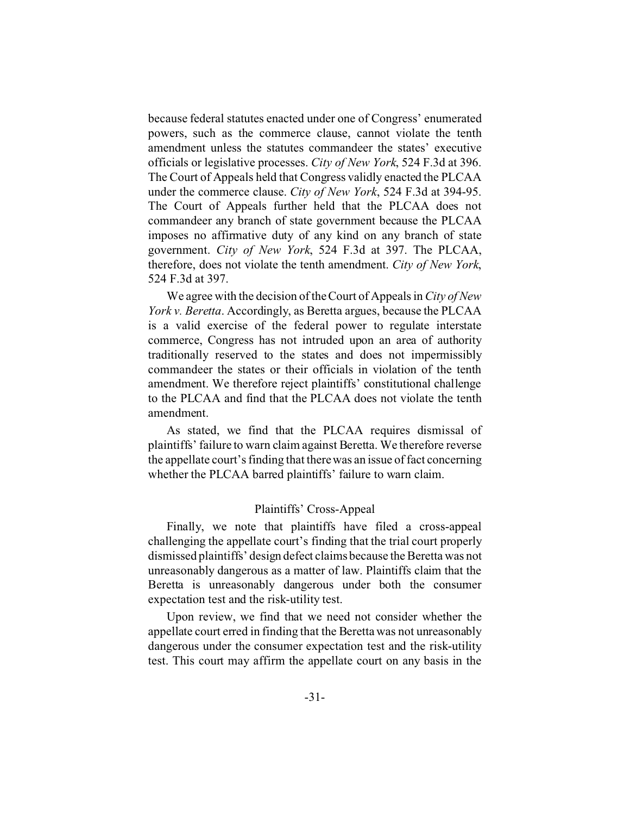because federal statutes enacted under one of Congress' enumerated powers, such as the commerce clause, cannot violate the tenth amendment unless the statutes commandeer the states' executive officials or legislative processes. *City of New York*, 524 F.3d at 396. The Court of Appeals held that Congress validly enacted the PLCAA under the commerce clause. *City of New York*, 524 F.3d at 394-95. The Court of Appeals further held that the PLCAA does not commandeer any branch of state government because the PLCAA imposes no affirmative duty of any kind on any branch of state government. *City of New York*, 524 F.3d at 397. The PLCAA, therefore, does not violate the tenth amendment. *City of New York*, 524 F.3d at 397.

We agree with the decision of the Court of Appeals in *City of New York v. Beretta*. Accordingly, as Beretta argues, because the PLCAA is a valid exercise of the federal power to regulate interstate commerce, Congress has not intruded upon an area of authority traditionally reserved to the states and does not impermissibly commandeer the states or their officials in violation of the tenth amendment. We therefore reject plaintiffs' constitutional challenge to the PLCAA and find that the PLCAA does not violate the tenth amendment.

As stated, we find that the PLCAA requires dismissal of plaintiffs' failure to warn claim against Beretta. We therefore reverse the appellate court's finding that there was an issue of fact concerning whether the PLCAA barred plaintiffs' failure to warn claim.

## Plaintiffs' Cross-Appeal

Finally, we note that plaintiffs have filed a cross-appeal challenging the appellate court's finding that the trial court properly dismissed plaintiffs' design defect claims because the Beretta was not unreasonably dangerous as a matter of law. Plaintiffs claim that the Beretta is unreasonably dangerous under both the consumer expectation test and the risk-utility test.

Upon review, we find that we need not consider whether the appellate court erred in finding that the Beretta was not unreasonably dangerous under the consumer expectation test and the risk-utility test. This court may affirm the appellate court on any basis in the